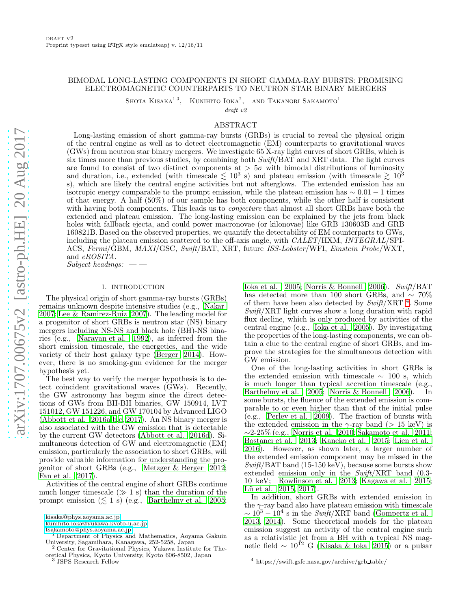# BIMODAL LONG-LASTING COMPONENTS IN SHORT GAMMA-RAY BURSTS: PROMISING ELECTROMAGNETIC COUNTERPARTS TO NEUTRON STAR BINARY MERGERS

SHOTA KISAKA $^{1,3}$ , KUNIHITO  $I$ OKA $^2$ , AND TAKANORI SAKAMOTO<sup>1</sup>

draft v2

# ABSTRACT

Long-lasting emission of short gamma-ray bursts (GRBs) is crucial to reveal the physical origin of the central engine as well as to detect electromagnetic (EM) counterparts to gravitational waves (GWs) from neutron star binary mergers. We investigate 65 X-ray light curves of short GRBs, which is six times more than previous studies, by combining both  $SwitchBAT$  and XRT data. The light curves are found to consist of two distinct components at  $> 5\sigma$  with bimodal distributions of luminosity and duration, i.e., extended (with timescale  $\lesssim 10^3$  s) and plateau emission (with timescale  $\gtrsim 10^3$ s), which are likely the central engine activities but not afterglows. The extended emission has an isotropic energy comparable to the prompt emission, while the plateau emission has  $\sim 0.01 - 1$  times of that energy. A half  $(50\%)$  of our sample has both components, while the other half is consistent with having both components. This leads us to *conjecture* that almost all short GRBs have both the extended and plateau emission. The long-lasting emission can be explained by the jets from black holes with fallback ejecta, and could power macronovae (or kilonovae) like GRB 130603B and GRB 160821B. Based on the observed properties, we quantify the detectability of EM counterparts to GWs, including the plateau emission scattered to the off-axis angle, with CALET/HXM, INTEGRAL/SPI-ACS, Fermi/GBM, MAXI/GSC, Swift/BAT, XRT, future ISS-Lobster/WFI, Einstein Probe/WXT, and eROSITA.

 $Subject$  headings:  $\qquad$ 

## 1. INTRODUCTION

The physical origin of short gamma-ray bursts (GRBs) remains unknown despite intensive studies (e.g., [Nakar](#page-18-0) [2007;](#page-18-0) [Lee & Ramirez-Ruiz 2007\)](#page-17-0). The leading model for a progenitor of short GRBs is neutron star (NS) binary mergers including NS-NS and black hole (BH)-NS binaries (e.g., [Narayan et al. 1992\)](#page-18-1), as inferred from the short emission timescale, the energetics, and the wide variety of their host galaxy type [\(Berger 2014\)](#page-17-1). However, there is no smoking-gun evidence for the merger hypothesis yet.

The best way to verify the merger hypothesis is to detect coincident gravitational waves (GWs). Recently, the GW astronomy has begun since the direct detections of GWs from BH-BH binaries, GW 150914, LVT 151012, GW 151226, and GW 170104 by Advanced LIGO [\(Abbott et al. 2016a](#page-17-2)[,b](#page-17-3)[,c,](#page-17-4) [2017\)](#page-17-5). An NS binary merger is also associated with the GW emission that is detectable by the current GW detectors [\(Abbott et al. 2016d\)](#page-17-6). Simultaneous detection of GW and electromagnetic (EM) emission, particularly the association to short GRBs, will provide valuable information for understanding the progenitor of short GRBs (e.g., [Metzger & Berger 2012;](#page-17-7) [Fan et al. 2017](#page-17-8)).

Activities of the central engine of short GRBs continue much longer timescale  $($   $\gg$  1 s) than the duration of the prompt emission  $(\leq 1 \text{ s})$  (e.g., [Barthelmy et al. 2005;](#page-17-9)

<sup>2</sup> Center for Gravitational Physics, Yukawa Institute for Theoretical Physics, Kyoto University, Kyoto 606-8502, Japan <sup>3</sup> JSPS Research Fellow

[Ioka et al. 2005](#page-17-10); [Norris & Bonnell 2006\)](#page-18-2). Swift/BAT has detected more than 100 short GRBs, and  $\sim 70\%$ of them have been also detected by  $\textit{Swift}/\textit{XRT}$ <sup>[4](#page-0-0)</sup>. Some Swift/XRT light curves show a long duration with rapid flux decline, which is only produced by activities of the central engine (e.g., [Ioka et al. 2005\)](#page-17-10). By investigating the properties of the long-lasting components, we can obtain a clue to the central engine of short GRBs, and improve the strategies for the simultaneous detection with GW emission.

One of the long-lasting activities in short GRBs is the extended emission with timescale  $\sim$  100 s, which is much longer than typical accretion timescale (e.g., [Barthelmy et al. 2005;](#page-17-9) [Norris & Bonnell 2006\)](#page-18-2). In some bursts, the fluence of the extended emission is comparable to or even higher than that of the initial pulse (e.g., [Perley et al. 2009\)](#page-18-3). The fraction of bursts with the extended emission in the  $\gamma$ -ray band ( $> 15 \text{ keV}$ ) is ∼2-25% (e.g., [Norris et al. 2010;](#page-18-4) [Sakamoto et al. 2011](#page-18-5); [Bostancı et al. 2013](#page-17-11); [Kaneko et al. 2015;](#page-17-12) [Lien et al.](#page-17-13) [2016\)](#page-17-13). However, as shown later, a larger number of the extended emission component may be missed in the  $Swift/BAT$  band (15-150 keV), because some bursts show extended emission only in the Swift/XRT band (0.3- 10 keV; [Rowlinson et al. 2013](#page-18-6); [Kagawa et al. 2015](#page-17-14); Lü et al.  $2015, 2017$ ).

In addition, short GRBs with extended emission in the  $\gamma$ -ray band also have plateau emission with timescale  $\sim 10^3 - 10^4$  s in the  $Swi\bar{f}t/\text{XRT}$  band [\(Gompertz et al.](#page-17-17) [2013,](#page-17-17) [2014](#page-17-18)). Some theoretical models for the plateau emission suggest an activity of the central engine such as a relativistic jet from a BH with a typical NS magnetic field  $\sim 10^{12}$  G [\(Kisaka & Ioka 2015\)](#page-17-19) or a pulsar

[kisaka@phys.aoyama.ac.jp](mailto:kisaka@phys.aoyama.ac.jp)

[kunihito.ioka@yukawa.kyoto-u.ac.jp](mailto:kunihito.ioka@yukawa.kyoto-u.ac.jp)

[tsakamoto@phys.aoyama.ac.jp](mailto:tsakamoto@phys.aoyama.ac.jp)

<sup>1</sup> Department of Physics and Mathematics, Aoyama Gakuin University, Sagamihara, Kanagawa, 252-5258, Japan

<span id="page-0-0"></span><sup>4</sup> https://swift.gsfc.nasa.gov/archive/grb table/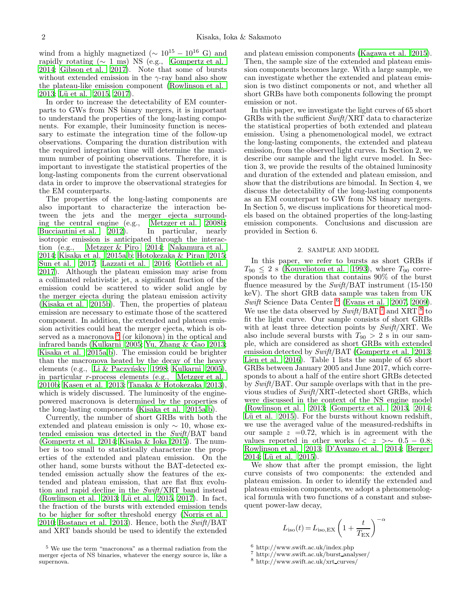wind from a highly magnetized ( $\sim 10^{15} - 10^{16}$  G) and rapidly rotating  $(∼ 1 ms)$  NS (e.g., [Gompertz et al.](#page-17-18) [2014;](#page-17-18) [Gibson et al. 2017\)](#page-17-20). Note that some of bursts without extended emission in the  $\gamma$ -ray band also show the plateau-like emission component [\(Rowlinson et al.](#page-18-6) [2013;](#page-18-6) Lü et al. 2015, [2017\)](#page-17-16).

In order to increase the detectability of EM counterparts to GWs from NS binary mergers, it is important to understand the properties of the long-lasting components. For example, their luminosity function is necessary to estimate the integration time of the follow-up observations. Comparing the duration distribution with the required integration time will determine the maximum number of pointing observations. Therefore, it is important to investigate the statistical properties of the long-lasting components from the current observational data in order to improve the observational strategies for the EM counterparts.

The properties of the long-lasting components are also important to characterize the interaction between the jets and the merger ejecta surround-<br>ing the central engine (e.g., Metzger et al. 2008b; ing the central engine (e.g., [Metzger et al. 2008b;](#page-17-21) [Bucciantini et al. 2012](#page-17-22)). In particular, nearly isotropic emission is anticipated through the interaction (e.g., [Metzger & Piro 2014;](#page-17-23) [Nakamura et al.](#page-17-24) [2014;](#page-17-24) [Kisaka et al. 2015a](#page-17-25)[,b;](#page-17-26) [Hotokezaka & Piran 2015;](#page-17-27) [Sun et al. 2017;](#page-18-7) [Lazzati et al. 2016](#page-17-28); [Gottlieb et al.](#page-17-29) [2017\)](#page-17-29). Although the plateau emission may arise from a collimated relativistic jet, a significant fraction of the emission could be scattered to wider solid angle by the merger ejecta during the plateau emission activity [\(Kisaka et al. 2015b](#page-17-26)). Then, the properties of plateau emission are necessary to estimate those of the scattered component. In addition, the extended and plateau emission activities could heat the merger ejecta, which is ob-served as a macronova<sup>[5](#page-1-0)</sup> (or kilonova) in the optical and infrared bands [\(Kulkarni 2005;](#page-17-30) [Yu, Zhang & Gao 2013;](#page-18-8) [Kisaka et al. 2015a](#page-17-25)[,b\)](#page-17-26). The emission could be brighter than the macronova heated by the decay of the heavy elements (e.g., Li & Paczyńsky 1998; [Kulkarni 2005\)](#page-17-30), in particular r-process elements (e.g., [Metzger et al.](#page-17-32) [2010b](#page-17-32); [Kasen et al. 2013](#page-17-33); [Tanaka & Hotokezaka 2013\)](#page-18-9), which is widely discussed. The luminosity of the enginepowered macronova is determined by the properties of the long-lasting components [\(Kisaka et al. 2015a](#page-17-25)[,b\)](#page-17-26).

Currently, the number of short GRBs with both the extended and plateau emission is only  $\sim$  10, whose extended emission was detected in the Swift/BAT band [\(Gompertz et al. 2014](#page-17-18); [Kisaka & Ioka 2015\)](#page-17-19). The number is too small to statistically characterize the properties of the extended and plateau emission. On the other hand, some bursts without the BAT-detected extended emission actually show the features of the extended and plateau emission, that are flat flux evolution and rapid decline in the Swift/XRT band instead [\(Rowlinson et al. 2013;](#page-18-6) Lü et al. 2015, [2017](#page-17-16)). In fact, the fraction of the bursts with extended emission tends to be higher for softer threshold energy [\(Norris et al.](#page-18-4) [2010;](#page-18-4) [Bostancı et al. 2013\)](#page-17-11). Hence, both the  $Swith/BAT$ and XRT bands should be used to identify the extended

and plateau emission components [\(Kagawa et al. 2015](#page-17-14)). Then, the sample size of the extended and plateau emission components becomes large. With a large sample, we can investigate whether the extended and plateau emission is two distinct components or not, and whether all short GRBs have both components following the prompt emission or not.

In this paper, we investigate the light curves of 65 short GRBs with the sufficient  $Swith/\text{XRT}$  data to characterize the statistical properties of both extended and plateau emission. Using a phenomenological model, we extract the long-lasting components, the extended and plateau emission, from the observed light curves. In Section 2, we describe our sample and the light curve model. In Section 3, we provide the results of the obtained luminosity and duration of the extended and plateau emission, and show that the distributions are bimodal. In Section 4, we discuss the detectability of the long-lasting components as an EM counterpart to GW from NS binary mergers. In Section 5, we discuss implications for theoretical models based on the obtained properties of the long-lasting emission components. Conclusions and discussion are provided in Section 6.

### 2. SAMPLE AND MODEL

In this paper, we refer to bursts as short GRBs if  $T_{90} \leq 2$  s [\(Kouveliotou et al. 1993](#page-17-34)), where  $T_{90}$  corresponds to the duration that contains 90% of the burst fluence measured by the  $Swith/BAT$  instrument (15-150) keV). The short GRB data sample was taken from UK Swift Science Data Center  $^6$  $^6$  [\(Evans et al. 2007,](#page-17-35) [2009](#page-17-36)). We use the data observed by  $\mathit{Swift}/\text{BAT}$ <sup>[7](#page-1-2)</sup> and XRT <sup>[8](#page-1-3)</sup> to fit the light curve. Our sample consists of short GRBs with at least three detection points by  $Swith/XRT$ . We also include several bursts with  $T_{90} > 2$  s in our sample, which are considered as short GRBs with extended emission detected by  $\textit{Swift}/\text{BAT}$  [\(Gompertz et al. 2013](#page-17-17); [Lien et al. 2016\)](#page-17-13). Table 1 lists the sample of 65 short GRBs between January 2005 and June 2017, which corresponds to about a half of the entire short GRBs detected by Swift/BAT. Our sample overlaps with that in the previous studies of Swift/XRT-detected short GRBs, which were discussed in the context of the NS engine model [\(Rowlinson et al. 2013](#page-18-6); [Gompertz et al. 2013,](#page-17-17) [2014](#page-17-18); Lü et al.  $2015$ . For the bursts without known redshift, we use the averaged value of the measured-redshifts in our sample  $z = 0.72$ , which is in agreement with the values reported in other works (<  $z \ge 0.5 - 0.8$ ; [Rowlinson et al. 2013](#page-18-6); [D'Avanzo et al. 2014](#page-17-37); [Berger](#page-17-1) [2014;](#page-17-1) Lü et al. 2015).

We show that after the prompt emission, the light curve consists of two components: the extended and plateau emission. In order to identify the extended and plateau emission components, we adopt a phenomenological formula with two functions of a constant and subsequent power-law decay,

<span id="page-1-4"></span>
$$
L_{\rm iso}(t)\,{=}\,L_{\rm iso,EX}\left(1+\frac{t}{T_{\rm EX}}\right)^{-\alpha}
$$

<sup>6</sup> http://www.swift.ac.uk/index.php

<span id="page-1-0"></span><sup>5</sup> We use the term "macronova" as a thermal radiation from the merger ejecta of NS binaries, whatever the energy source is, like a supernova.

<span id="page-1-1"></span><sup>7</sup> http://www.swift.ac.uk/burst analyser/

<span id="page-1-3"></span><span id="page-1-2"></span><sup>8</sup> http://www.swift.ac.uk/xrt curves/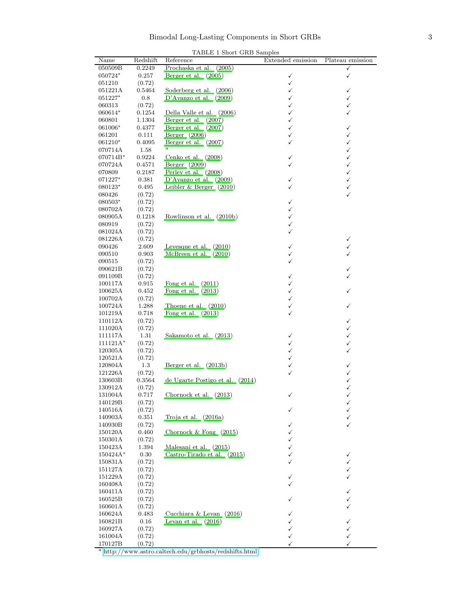| TABLE 1 Short GRB Samples |  |  |  |
|---------------------------|--|--|--|
|---------------------------|--|--|--|

| Prochaska et al. (2005)<br>050509B<br>0.2249<br>✓<br>0.257<br>Berger et al. $(2005)$<br>✓<br>050724*<br>✓<br>✓<br>051210<br>(0.72)<br>0.5464<br>Soderberg et al.<br>✓<br>051221A<br>(2006)<br>✓<br>D'Avanzo et al.<br>✓<br>✓<br>051227*<br>0.8<br>(2009)<br>(0.72)<br>✓<br>✓<br>060313<br>Della Valle et al. (2006)<br>✓<br>✓<br>060614*<br>0.1254<br>✓<br>Berger et al.<br>060801<br>1.1304<br>(2007)<br>061006*<br>Berger et al.<br>✓<br>0.4377<br>(2007)<br>✓<br>Berger $(2006)$<br>✓<br>0.111<br>✓<br>061201<br>$\checkmark$<br>Berger et al. $(2007)$<br>✓<br>061210*<br>0.4095<br>a<br>✓<br>070714A<br>1.58<br>Cenko et al. $(2008)$<br>✓<br>070714B*<br>0.9224<br>✓<br>$\checkmark$<br>Berger $(2009)$<br>070724A<br>0.4571<br>✓<br>Perley et al. $(2008)$<br>✓<br>070809<br>$_{0.2187}$<br>✓<br>D'Avanzo et al. $(2009)$<br>✓<br>071227*<br>0.381<br>Leibler $& Berger \quad (2010)$<br>✓<br>080123*<br>0.495<br>✓<br>✓<br>080426<br>(0.72)<br>(0.72)<br>✓<br>080503*<br>080702A<br>✓<br>(0.72)<br>$\checkmark$<br>Rowlinson et al. (2010b)<br>080905A<br>0.1218<br>✓<br>080919<br>(0.72)<br>✓<br>081024A<br>(0.72)<br>081226A<br>(0.72)<br>✓<br>✓<br>090426<br>2.609<br>Levesque et al.<br>(2010)<br>✓<br>✓<br>McBreen et al. $(2010)$<br>✓<br>090510<br>0.903<br>✓<br>090515<br>(0.72)<br>090621B<br>(0.72)<br>✓<br>✓<br>✓<br>091109B<br>(0.72)<br>Fong et al.<br>(2011)<br>100117A<br>0.915<br>✓<br>Fong et al. $(2013)$<br>✓<br>100625A<br>0.452<br>✓<br>✓<br>100702A<br>(0.72)<br>Thoene et al. $(2010)$<br>100724A<br>1.288<br>✓<br>✓<br>✓<br>Fong et al. $(2013)$<br>101219A<br>0.718<br>110112A<br>(0.72)<br>✓<br>✓<br>111020A<br>(0.72)<br>$\checkmark$<br>1.31<br>111117A<br>Sakamoto et al. (2013)<br>✓<br>$111121A*$<br>✓<br>(0.72)<br>✓<br>$\checkmark$<br>✓<br>120305A<br>(0.72)<br>✓<br>120521A<br>(0.72)<br>Berger et al. (2013b)<br>✓<br>✓<br>120804A<br>$1.3\,$<br>✓<br>✓<br>121226A<br>(0.72)<br>de Ugarte Postigo et al.<br>130603B<br>0.3564<br>(2014)<br>✓<br>✓<br>130912A<br>(0.72)<br>✓<br>✓<br>131004A<br>0.717<br>Chornock et al. $(2013)$<br>140129B<br>(0.72)<br>✓<br>✓<br>140516A<br>(0.72)<br>0.351<br>Troja et al. $(2016a)$<br>140903A<br>✓<br>140930B<br>(0.72)<br>✓<br>0.460<br>Chornock $&$ Fong $(2015)$<br>150120A<br>✓<br>150301A<br>(0.72)<br>✓<br>Malesani et al. (2015)<br>150423A<br>1.394<br>✓<br>Castro-Tirado et al. (2015)<br>150424A*<br>0.30<br>✓<br>✓<br>✓<br>150831A<br>(0.72)<br>(0.72)<br>151127A<br>✓<br>151229A<br>(0.72)<br>(0.72)<br>160408A<br>160411A<br>(0.72)<br>✓<br>160525B<br>(0.72)<br>✓<br>✓<br>160601A<br>(0.72)<br>Cucchiara & Levan $(2016)$<br>160624A<br>0.483<br>Levan et al. $(2016)$<br>160821B<br>0.16<br>✓<br>✓<br>160927A<br>(0.72)<br>✓<br>✓<br>161004A<br>(0.72)<br>✓<br>✓<br>170127B<br>(0.72)<br>✓<br>✓<br><sup>a</sup> http://www.astro.caltech.edu/grbhosts/redshifts.html | Name | Redshift | Reference | Extended emission | Plateau emission |
|----------------------------------------------------------------------------------------------------------------------------------------------------------------------------------------------------------------------------------------------------------------------------------------------------------------------------------------------------------------------------------------------------------------------------------------------------------------------------------------------------------------------------------------------------------------------------------------------------------------------------------------------------------------------------------------------------------------------------------------------------------------------------------------------------------------------------------------------------------------------------------------------------------------------------------------------------------------------------------------------------------------------------------------------------------------------------------------------------------------------------------------------------------------------------------------------------------------------------------------------------------------------------------------------------------------------------------------------------------------------------------------------------------------------------------------------------------------------------------------------------------------------------------------------------------------------------------------------------------------------------------------------------------------------------------------------------------------------------------------------------------------------------------------------------------------------------------------------------------------------------------------------------------------------------------------------------------------------------------------------------------------------------------------------------------------------------------------------------------------------------------------------------------------------------------------------------------------------------------------------------------------------------------------------------------------------------------------------------------------------------------------------------------------------------------------------------------------------------------------------------------------------------------------------------------------------------------------------------------------------------------------------------------------------------------------------------------------------------------------------------------------------------------------------------------------------------------------------------------------------|------|----------|-----------|-------------------|------------------|
|                                                                                                                                                                                                                                                                                                                                                                                                                                                                                                                                                                                                                                                                                                                                                                                                                                                                                                                                                                                                                                                                                                                                                                                                                                                                                                                                                                                                                                                                                                                                                                                                                                                                                                                                                                                                                                                                                                                                                                                                                                                                                                                                                                                                                                                                                                                                                                                                                                                                                                                                                                                                                                                                                                                                                                                                                                                                      |      |          |           |                   |                  |
|                                                                                                                                                                                                                                                                                                                                                                                                                                                                                                                                                                                                                                                                                                                                                                                                                                                                                                                                                                                                                                                                                                                                                                                                                                                                                                                                                                                                                                                                                                                                                                                                                                                                                                                                                                                                                                                                                                                                                                                                                                                                                                                                                                                                                                                                                                                                                                                                                                                                                                                                                                                                                                                                                                                                                                                                                                                                      |      |          |           |                   |                  |
|                                                                                                                                                                                                                                                                                                                                                                                                                                                                                                                                                                                                                                                                                                                                                                                                                                                                                                                                                                                                                                                                                                                                                                                                                                                                                                                                                                                                                                                                                                                                                                                                                                                                                                                                                                                                                                                                                                                                                                                                                                                                                                                                                                                                                                                                                                                                                                                                                                                                                                                                                                                                                                                                                                                                                                                                                                                                      |      |          |           |                   |                  |
|                                                                                                                                                                                                                                                                                                                                                                                                                                                                                                                                                                                                                                                                                                                                                                                                                                                                                                                                                                                                                                                                                                                                                                                                                                                                                                                                                                                                                                                                                                                                                                                                                                                                                                                                                                                                                                                                                                                                                                                                                                                                                                                                                                                                                                                                                                                                                                                                                                                                                                                                                                                                                                                                                                                                                                                                                                                                      |      |          |           |                   |                  |
|                                                                                                                                                                                                                                                                                                                                                                                                                                                                                                                                                                                                                                                                                                                                                                                                                                                                                                                                                                                                                                                                                                                                                                                                                                                                                                                                                                                                                                                                                                                                                                                                                                                                                                                                                                                                                                                                                                                                                                                                                                                                                                                                                                                                                                                                                                                                                                                                                                                                                                                                                                                                                                                                                                                                                                                                                                                                      |      |          |           |                   |                  |
|                                                                                                                                                                                                                                                                                                                                                                                                                                                                                                                                                                                                                                                                                                                                                                                                                                                                                                                                                                                                                                                                                                                                                                                                                                                                                                                                                                                                                                                                                                                                                                                                                                                                                                                                                                                                                                                                                                                                                                                                                                                                                                                                                                                                                                                                                                                                                                                                                                                                                                                                                                                                                                                                                                                                                                                                                                                                      |      |          |           |                   |                  |
|                                                                                                                                                                                                                                                                                                                                                                                                                                                                                                                                                                                                                                                                                                                                                                                                                                                                                                                                                                                                                                                                                                                                                                                                                                                                                                                                                                                                                                                                                                                                                                                                                                                                                                                                                                                                                                                                                                                                                                                                                                                                                                                                                                                                                                                                                                                                                                                                                                                                                                                                                                                                                                                                                                                                                                                                                                                                      |      |          |           |                   |                  |
|                                                                                                                                                                                                                                                                                                                                                                                                                                                                                                                                                                                                                                                                                                                                                                                                                                                                                                                                                                                                                                                                                                                                                                                                                                                                                                                                                                                                                                                                                                                                                                                                                                                                                                                                                                                                                                                                                                                                                                                                                                                                                                                                                                                                                                                                                                                                                                                                                                                                                                                                                                                                                                                                                                                                                                                                                                                                      |      |          |           |                   |                  |
|                                                                                                                                                                                                                                                                                                                                                                                                                                                                                                                                                                                                                                                                                                                                                                                                                                                                                                                                                                                                                                                                                                                                                                                                                                                                                                                                                                                                                                                                                                                                                                                                                                                                                                                                                                                                                                                                                                                                                                                                                                                                                                                                                                                                                                                                                                                                                                                                                                                                                                                                                                                                                                                                                                                                                                                                                                                                      |      |          |           |                   |                  |
|                                                                                                                                                                                                                                                                                                                                                                                                                                                                                                                                                                                                                                                                                                                                                                                                                                                                                                                                                                                                                                                                                                                                                                                                                                                                                                                                                                                                                                                                                                                                                                                                                                                                                                                                                                                                                                                                                                                                                                                                                                                                                                                                                                                                                                                                                                                                                                                                                                                                                                                                                                                                                                                                                                                                                                                                                                                                      |      |          |           |                   |                  |
|                                                                                                                                                                                                                                                                                                                                                                                                                                                                                                                                                                                                                                                                                                                                                                                                                                                                                                                                                                                                                                                                                                                                                                                                                                                                                                                                                                                                                                                                                                                                                                                                                                                                                                                                                                                                                                                                                                                                                                                                                                                                                                                                                                                                                                                                                                                                                                                                                                                                                                                                                                                                                                                                                                                                                                                                                                                                      |      |          |           |                   |                  |
|                                                                                                                                                                                                                                                                                                                                                                                                                                                                                                                                                                                                                                                                                                                                                                                                                                                                                                                                                                                                                                                                                                                                                                                                                                                                                                                                                                                                                                                                                                                                                                                                                                                                                                                                                                                                                                                                                                                                                                                                                                                                                                                                                                                                                                                                                                                                                                                                                                                                                                                                                                                                                                                                                                                                                                                                                                                                      |      |          |           |                   |                  |
|                                                                                                                                                                                                                                                                                                                                                                                                                                                                                                                                                                                                                                                                                                                                                                                                                                                                                                                                                                                                                                                                                                                                                                                                                                                                                                                                                                                                                                                                                                                                                                                                                                                                                                                                                                                                                                                                                                                                                                                                                                                                                                                                                                                                                                                                                                                                                                                                                                                                                                                                                                                                                                                                                                                                                                                                                                                                      |      |          |           |                   |                  |
|                                                                                                                                                                                                                                                                                                                                                                                                                                                                                                                                                                                                                                                                                                                                                                                                                                                                                                                                                                                                                                                                                                                                                                                                                                                                                                                                                                                                                                                                                                                                                                                                                                                                                                                                                                                                                                                                                                                                                                                                                                                                                                                                                                                                                                                                                                                                                                                                                                                                                                                                                                                                                                                                                                                                                                                                                                                                      |      |          |           |                   |                  |
|                                                                                                                                                                                                                                                                                                                                                                                                                                                                                                                                                                                                                                                                                                                                                                                                                                                                                                                                                                                                                                                                                                                                                                                                                                                                                                                                                                                                                                                                                                                                                                                                                                                                                                                                                                                                                                                                                                                                                                                                                                                                                                                                                                                                                                                                                                                                                                                                                                                                                                                                                                                                                                                                                                                                                                                                                                                                      |      |          |           |                   |                  |
|                                                                                                                                                                                                                                                                                                                                                                                                                                                                                                                                                                                                                                                                                                                                                                                                                                                                                                                                                                                                                                                                                                                                                                                                                                                                                                                                                                                                                                                                                                                                                                                                                                                                                                                                                                                                                                                                                                                                                                                                                                                                                                                                                                                                                                                                                                                                                                                                                                                                                                                                                                                                                                                                                                                                                                                                                                                                      |      |          |           |                   |                  |
|                                                                                                                                                                                                                                                                                                                                                                                                                                                                                                                                                                                                                                                                                                                                                                                                                                                                                                                                                                                                                                                                                                                                                                                                                                                                                                                                                                                                                                                                                                                                                                                                                                                                                                                                                                                                                                                                                                                                                                                                                                                                                                                                                                                                                                                                                                                                                                                                                                                                                                                                                                                                                                                                                                                                                                                                                                                                      |      |          |           |                   |                  |
|                                                                                                                                                                                                                                                                                                                                                                                                                                                                                                                                                                                                                                                                                                                                                                                                                                                                                                                                                                                                                                                                                                                                                                                                                                                                                                                                                                                                                                                                                                                                                                                                                                                                                                                                                                                                                                                                                                                                                                                                                                                                                                                                                                                                                                                                                                                                                                                                                                                                                                                                                                                                                                                                                                                                                                                                                                                                      |      |          |           |                   |                  |
|                                                                                                                                                                                                                                                                                                                                                                                                                                                                                                                                                                                                                                                                                                                                                                                                                                                                                                                                                                                                                                                                                                                                                                                                                                                                                                                                                                                                                                                                                                                                                                                                                                                                                                                                                                                                                                                                                                                                                                                                                                                                                                                                                                                                                                                                                                                                                                                                                                                                                                                                                                                                                                                                                                                                                                                                                                                                      |      |          |           |                   |                  |
|                                                                                                                                                                                                                                                                                                                                                                                                                                                                                                                                                                                                                                                                                                                                                                                                                                                                                                                                                                                                                                                                                                                                                                                                                                                                                                                                                                                                                                                                                                                                                                                                                                                                                                                                                                                                                                                                                                                                                                                                                                                                                                                                                                                                                                                                                                                                                                                                                                                                                                                                                                                                                                                                                                                                                                                                                                                                      |      |          |           |                   |                  |
|                                                                                                                                                                                                                                                                                                                                                                                                                                                                                                                                                                                                                                                                                                                                                                                                                                                                                                                                                                                                                                                                                                                                                                                                                                                                                                                                                                                                                                                                                                                                                                                                                                                                                                                                                                                                                                                                                                                                                                                                                                                                                                                                                                                                                                                                                                                                                                                                                                                                                                                                                                                                                                                                                                                                                                                                                                                                      |      |          |           |                   |                  |
|                                                                                                                                                                                                                                                                                                                                                                                                                                                                                                                                                                                                                                                                                                                                                                                                                                                                                                                                                                                                                                                                                                                                                                                                                                                                                                                                                                                                                                                                                                                                                                                                                                                                                                                                                                                                                                                                                                                                                                                                                                                                                                                                                                                                                                                                                                                                                                                                                                                                                                                                                                                                                                                                                                                                                                                                                                                                      |      |          |           |                   |                  |
|                                                                                                                                                                                                                                                                                                                                                                                                                                                                                                                                                                                                                                                                                                                                                                                                                                                                                                                                                                                                                                                                                                                                                                                                                                                                                                                                                                                                                                                                                                                                                                                                                                                                                                                                                                                                                                                                                                                                                                                                                                                                                                                                                                                                                                                                                                                                                                                                                                                                                                                                                                                                                                                                                                                                                                                                                                                                      |      |          |           |                   |                  |
|                                                                                                                                                                                                                                                                                                                                                                                                                                                                                                                                                                                                                                                                                                                                                                                                                                                                                                                                                                                                                                                                                                                                                                                                                                                                                                                                                                                                                                                                                                                                                                                                                                                                                                                                                                                                                                                                                                                                                                                                                                                                                                                                                                                                                                                                                                                                                                                                                                                                                                                                                                                                                                                                                                                                                                                                                                                                      |      |          |           |                   |                  |
|                                                                                                                                                                                                                                                                                                                                                                                                                                                                                                                                                                                                                                                                                                                                                                                                                                                                                                                                                                                                                                                                                                                                                                                                                                                                                                                                                                                                                                                                                                                                                                                                                                                                                                                                                                                                                                                                                                                                                                                                                                                                                                                                                                                                                                                                                                                                                                                                                                                                                                                                                                                                                                                                                                                                                                                                                                                                      |      |          |           |                   |                  |
|                                                                                                                                                                                                                                                                                                                                                                                                                                                                                                                                                                                                                                                                                                                                                                                                                                                                                                                                                                                                                                                                                                                                                                                                                                                                                                                                                                                                                                                                                                                                                                                                                                                                                                                                                                                                                                                                                                                                                                                                                                                                                                                                                                                                                                                                                                                                                                                                                                                                                                                                                                                                                                                                                                                                                                                                                                                                      |      |          |           |                   |                  |
|                                                                                                                                                                                                                                                                                                                                                                                                                                                                                                                                                                                                                                                                                                                                                                                                                                                                                                                                                                                                                                                                                                                                                                                                                                                                                                                                                                                                                                                                                                                                                                                                                                                                                                                                                                                                                                                                                                                                                                                                                                                                                                                                                                                                                                                                                                                                                                                                                                                                                                                                                                                                                                                                                                                                                                                                                                                                      |      |          |           |                   |                  |
|                                                                                                                                                                                                                                                                                                                                                                                                                                                                                                                                                                                                                                                                                                                                                                                                                                                                                                                                                                                                                                                                                                                                                                                                                                                                                                                                                                                                                                                                                                                                                                                                                                                                                                                                                                                                                                                                                                                                                                                                                                                                                                                                                                                                                                                                                                                                                                                                                                                                                                                                                                                                                                                                                                                                                                                                                                                                      |      |          |           |                   |                  |
|                                                                                                                                                                                                                                                                                                                                                                                                                                                                                                                                                                                                                                                                                                                                                                                                                                                                                                                                                                                                                                                                                                                                                                                                                                                                                                                                                                                                                                                                                                                                                                                                                                                                                                                                                                                                                                                                                                                                                                                                                                                                                                                                                                                                                                                                                                                                                                                                                                                                                                                                                                                                                                                                                                                                                                                                                                                                      |      |          |           |                   |                  |
|                                                                                                                                                                                                                                                                                                                                                                                                                                                                                                                                                                                                                                                                                                                                                                                                                                                                                                                                                                                                                                                                                                                                                                                                                                                                                                                                                                                                                                                                                                                                                                                                                                                                                                                                                                                                                                                                                                                                                                                                                                                                                                                                                                                                                                                                                                                                                                                                                                                                                                                                                                                                                                                                                                                                                                                                                                                                      |      |          |           |                   |                  |
|                                                                                                                                                                                                                                                                                                                                                                                                                                                                                                                                                                                                                                                                                                                                                                                                                                                                                                                                                                                                                                                                                                                                                                                                                                                                                                                                                                                                                                                                                                                                                                                                                                                                                                                                                                                                                                                                                                                                                                                                                                                                                                                                                                                                                                                                                                                                                                                                                                                                                                                                                                                                                                                                                                                                                                                                                                                                      |      |          |           |                   |                  |
|                                                                                                                                                                                                                                                                                                                                                                                                                                                                                                                                                                                                                                                                                                                                                                                                                                                                                                                                                                                                                                                                                                                                                                                                                                                                                                                                                                                                                                                                                                                                                                                                                                                                                                                                                                                                                                                                                                                                                                                                                                                                                                                                                                                                                                                                                                                                                                                                                                                                                                                                                                                                                                                                                                                                                                                                                                                                      |      |          |           |                   |                  |
|                                                                                                                                                                                                                                                                                                                                                                                                                                                                                                                                                                                                                                                                                                                                                                                                                                                                                                                                                                                                                                                                                                                                                                                                                                                                                                                                                                                                                                                                                                                                                                                                                                                                                                                                                                                                                                                                                                                                                                                                                                                                                                                                                                                                                                                                                                                                                                                                                                                                                                                                                                                                                                                                                                                                                                                                                                                                      |      |          |           |                   |                  |
|                                                                                                                                                                                                                                                                                                                                                                                                                                                                                                                                                                                                                                                                                                                                                                                                                                                                                                                                                                                                                                                                                                                                                                                                                                                                                                                                                                                                                                                                                                                                                                                                                                                                                                                                                                                                                                                                                                                                                                                                                                                                                                                                                                                                                                                                                                                                                                                                                                                                                                                                                                                                                                                                                                                                                                                                                                                                      |      |          |           |                   |                  |
|                                                                                                                                                                                                                                                                                                                                                                                                                                                                                                                                                                                                                                                                                                                                                                                                                                                                                                                                                                                                                                                                                                                                                                                                                                                                                                                                                                                                                                                                                                                                                                                                                                                                                                                                                                                                                                                                                                                                                                                                                                                                                                                                                                                                                                                                                                                                                                                                                                                                                                                                                                                                                                                                                                                                                                                                                                                                      |      |          |           |                   |                  |
|                                                                                                                                                                                                                                                                                                                                                                                                                                                                                                                                                                                                                                                                                                                                                                                                                                                                                                                                                                                                                                                                                                                                                                                                                                                                                                                                                                                                                                                                                                                                                                                                                                                                                                                                                                                                                                                                                                                                                                                                                                                                                                                                                                                                                                                                                                                                                                                                                                                                                                                                                                                                                                                                                                                                                                                                                                                                      |      |          |           |                   |                  |
|                                                                                                                                                                                                                                                                                                                                                                                                                                                                                                                                                                                                                                                                                                                                                                                                                                                                                                                                                                                                                                                                                                                                                                                                                                                                                                                                                                                                                                                                                                                                                                                                                                                                                                                                                                                                                                                                                                                                                                                                                                                                                                                                                                                                                                                                                                                                                                                                                                                                                                                                                                                                                                                                                                                                                                                                                                                                      |      |          |           |                   |                  |
|                                                                                                                                                                                                                                                                                                                                                                                                                                                                                                                                                                                                                                                                                                                                                                                                                                                                                                                                                                                                                                                                                                                                                                                                                                                                                                                                                                                                                                                                                                                                                                                                                                                                                                                                                                                                                                                                                                                                                                                                                                                                                                                                                                                                                                                                                                                                                                                                                                                                                                                                                                                                                                                                                                                                                                                                                                                                      |      |          |           |                   |                  |
|                                                                                                                                                                                                                                                                                                                                                                                                                                                                                                                                                                                                                                                                                                                                                                                                                                                                                                                                                                                                                                                                                                                                                                                                                                                                                                                                                                                                                                                                                                                                                                                                                                                                                                                                                                                                                                                                                                                                                                                                                                                                                                                                                                                                                                                                                                                                                                                                                                                                                                                                                                                                                                                                                                                                                                                                                                                                      |      |          |           |                   |                  |
|                                                                                                                                                                                                                                                                                                                                                                                                                                                                                                                                                                                                                                                                                                                                                                                                                                                                                                                                                                                                                                                                                                                                                                                                                                                                                                                                                                                                                                                                                                                                                                                                                                                                                                                                                                                                                                                                                                                                                                                                                                                                                                                                                                                                                                                                                                                                                                                                                                                                                                                                                                                                                                                                                                                                                                                                                                                                      |      |          |           |                   |                  |
|                                                                                                                                                                                                                                                                                                                                                                                                                                                                                                                                                                                                                                                                                                                                                                                                                                                                                                                                                                                                                                                                                                                                                                                                                                                                                                                                                                                                                                                                                                                                                                                                                                                                                                                                                                                                                                                                                                                                                                                                                                                                                                                                                                                                                                                                                                                                                                                                                                                                                                                                                                                                                                                                                                                                                                                                                                                                      |      |          |           |                   |                  |
|                                                                                                                                                                                                                                                                                                                                                                                                                                                                                                                                                                                                                                                                                                                                                                                                                                                                                                                                                                                                                                                                                                                                                                                                                                                                                                                                                                                                                                                                                                                                                                                                                                                                                                                                                                                                                                                                                                                                                                                                                                                                                                                                                                                                                                                                                                                                                                                                                                                                                                                                                                                                                                                                                                                                                                                                                                                                      |      |          |           |                   |                  |
|                                                                                                                                                                                                                                                                                                                                                                                                                                                                                                                                                                                                                                                                                                                                                                                                                                                                                                                                                                                                                                                                                                                                                                                                                                                                                                                                                                                                                                                                                                                                                                                                                                                                                                                                                                                                                                                                                                                                                                                                                                                                                                                                                                                                                                                                                                                                                                                                                                                                                                                                                                                                                                                                                                                                                                                                                                                                      |      |          |           |                   |                  |
|                                                                                                                                                                                                                                                                                                                                                                                                                                                                                                                                                                                                                                                                                                                                                                                                                                                                                                                                                                                                                                                                                                                                                                                                                                                                                                                                                                                                                                                                                                                                                                                                                                                                                                                                                                                                                                                                                                                                                                                                                                                                                                                                                                                                                                                                                                                                                                                                                                                                                                                                                                                                                                                                                                                                                                                                                                                                      |      |          |           |                   |                  |
|                                                                                                                                                                                                                                                                                                                                                                                                                                                                                                                                                                                                                                                                                                                                                                                                                                                                                                                                                                                                                                                                                                                                                                                                                                                                                                                                                                                                                                                                                                                                                                                                                                                                                                                                                                                                                                                                                                                                                                                                                                                                                                                                                                                                                                                                                                                                                                                                                                                                                                                                                                                                                                                                                                                                                                                                                                                                      |      |          |           |                   |                  |
|                                                                                                                                                                                                                                                                                                                                                                                                                                                                                                                                                                                                                                                                                                                                                                                                                                                                                                                                                                                                                                                                                                                                                                                                                                                                                                                                                                                                                                                                                                                                                                                                                                                                                                                                                                                                                                                                                                                                                                                                                                                                                                                                                                                                                                                                                                                                                                                                                                                                                                                                                                                                                                                                                                                                                                                                                                                                      |      |          |           |                   |                  |
|                                                                                                                                                                                                                                                                                                                                                                                                                                                                                                                                                                                                                                                                                                                                                                                                                                                                                                                                                                                                                                                                                                                                                                                                                                                                                                                                                                                                                                                                                                                                                                                                                                                                                                                                                                                                                                                                                                                                                                                                                                                                                                                                                                                                                                                                                                                                                                                                                                                                                                                                                                                                                                                                                                                                                                                                                                                                      |      |          |           |                   |                  |
|                                                                                                                                                                                                                                                                                                                                                                                                                                                                                                                                                                                                                                                                                                                                                                                                                                                                                                                                                                                                                                                                                                                                                                                                                                                                                                                                                                                                                                                                                                                                                                                                                                                                                                                                                                                                                                                                                                                                                                                                                                                                                                                                                                                                                                                                                                                                                                                                                                                                                                                                                                                                                                                                                                                                                                                                                                                                      |      |          |           |                   |                  |
|                                                                                                                                                                                                                                                                                                                                                                                                                                                                                                                                                                                                                                                                                                                                                                                                                                                                                                                                                                                                                                                                                                                                                                                                                                                                                                                                                                                                                                                                                                                                                                                                                                                                                                                                                                                                                                                                                                                                                                                                                                                                                                                                                                                                                                                                                                                                                                                                                                                                                                                                                                                                                                                                                                                                                                                                                                                                      |      |          |           |                   |                  |
|                                                                                                                                                                                                                                                                                                                                                                                                                                                                                                                                                                                                                                                                                                                                                                                                                                                                                                                                                                                                                                                                                                                                                                                                                                                                                                                                                                                                                                                                                                                                                                                                                                                                                                                                                                                                                                                                                                                                                                                                                                                                                                                                                                                                                                                                                                                                                                                                                                                                                                                                                                                                                                                                                                                                                                                                                                                                      |      |          |           |                   |                  |
|                                                                                                                                                                                                                                                                                                                                                                                                                                                                                                                                                                                                                                                                                                                                                                                                                                                                                                                                                                                                                                                                                                                                                                                                                                                                                                                                                                                                                                                                                                                                                                                                                                                                                                                                                                                                                                                                                                                                                                                                                                                                                                                                                                                                                                                                                                                                                                                                                                                                                                                                                                                                                                                                                                                                                                                                                                                                      |      |          |           |                   |                  |
|                                                                                                                                                                                                                                                                                                                                                                                                                                                                                                                                                                                                                                                                                                                                                                                                                                                                                                                                                                                                                                                                                                                                                                                                                                                                                                                                                                                                                                                                                                                                                                                                                                                                                                                                                                                                                                                                                                                                                                                                                                                                                                                                                                                                                                                                                                                                                                                                                                                                                                                                                                                                                                                                                                                                                                                                                                                                      |      |          |           |                   |                  |
|                                                                                                                                                                                                                                                                                                                                                                                                                                                                                                                                                                                                                                                                                                                                                                                                                                                                                                                                                                                                                                                                                                                                                                                                                                                                                                                                                                                                                                                                                                                                                                                                                                                                                                                                                                                                                                                                                                                                                                                                                                                                                                                                                                                                                                                                                                                                                                                                                                                                                                                                                                                                                                                                                                                                                                                                                                                                      |      |          |           |                   |                  |
|                                                                                                                                                                                                                                                                                                                                                                                                                                                                                                                                                                                                                                                                                                                                                                                                                                                                                                                                                                                                                                                                                                                                                                                                                                                                                                                                                                                                                                                                                                                                                                                                                                                                                                                                                                                                                                                                                                                                                                                                                                                                                                                                                                                                                                                                                                                                                                                                                                                                                                                                                                                                                                                                                                                                                                                                                                                                      |      |          |           |                   |                  |
|                                                                                                                                                                                                                                                                                                                                                                                                                                                                                                                                                                                                                                                                                                                                                                                                                                                                                                                                                                                                                                                                                                                                                                                                                                                                                                                                                                                                                                                                                                                                                                                                                                                                                                                                                                                                                                                                                                                                                                                                                                                                                                                                                                                                                                                                                                                                                                                                                                                                                                                                                                                                                                                                                                                                                                                                                                                                      |      |          |           |                   |                  |
|                                                                                                                                                                                                                                                                                                                                                                                                                                                                                                                                                                                                                                                                                                                                                                                                                                                                                                                                                                                                                                                                                                                                                                                                                                                                                                                                                                                                                                                                                                                                                                                                                                                                                                                                                                                                                                                                                                                                                                                                                                                                                                                                                                                                                                                                                                                                                                                                                                                                                                                                                                                                                                                                                                                                                                                                                                                                      |      |          |           |                   |                  |
|                                                                                                                                                                                                                                                                                                                                                                                                                                                                                                                                                                                                                                                                                                                                                                                                                                                                                                                                                                                                                                                                                                                                                                                                                                                                                                                                                                                                                                                                                                                                                                                                                                                                                                                                                                                                                                                                                                                                                                                                                                                                                                                                                                                                                                                                                                                                                                                                                                                                                                                                                                                                                                                                                                                                                                                                                                                                      |      |          |           |                   |                  |
|                                                                                                                                                                                                                                                                                                                                                                                                                                                                                                                                                                                                                                                                                                                                                                                                                                                                                                                                                                                                                                                                                                                                                                                                                                                                                                                                                                                                                                                                                                                                                                                                                                                                                                                                                                                                                                                                                                                                                                                                                                                                                                                                                                                                                                                                                                                                                                                                                                                                                                                                                                                                                                                                                                                                                                                                                                                                      |      |          |           |                   |                  |
|                                                                                                                                                                                                                                                                                                                                                                                                                                                                                                                                                                                                                                                                                                                                                                                                                                                                                                                                                                                                                                                                                                                                                                                                                                                                                                                                                                                                                                                                                                                                                                                                                                                                                                                                                                                                                                                                                                                                                                                                                                                                                                                                                                                                                                                                                                                                                                                                                                                                                                                                                                                                                                                                                                                                                                                                                                                                      |      |          |           |                   |                  |
|                                                                                                                                                                                                                                                                                                                                                                                                                                                                                                                                                                                                                                                                                                                                                                                                                                                                                                                                                                                                                                                                                                                                                                                                                                                                                                                                                                                                                                                                                                                                                                                                                                                                                                                                                                                                                                                                                                                                                                                                                                                                                                                                                                                                                                                                                                                                                                                                                                                                                                                                                                                                                                                                                                                                                                                                                                                                      |      |          |           |                   |                  |
|                                                                                                                                                                                                                                                                                                                                                                                                                                                                                                                                                                                                                                                                                                                                                                                                                                                                                                                                                                                                                                                                                                                                                                                                                                                                                                                                                                                                                                                                                                                                                                                                                                                                                                                                                                                                                                                                                                                                                                                                                                                                                                                                                                                                                                                                                                                                                                                                                                                                                                                                                                                                                                                                                                                                                                                                                                                                      |      |          |           |                   |                  |
|                                                                                                                                                                                                                                                                                                                                                                                                                                                                                                                                                                                                                                                                                                                                                                                                                                                                                                                                                                                                                                                                                                                                                                                                                                                                                                                                                                                                                                                                                                                                                                                                                                                                                                                                                                                                                                                                                                                                                                                                                                                                                                                                                                                                                                                                                                                                                                                                                                                                                                                                                                                                                                                                                                                                                                                                                                                                      |      |          |           |                   |                  |
|                                                                                                                                                                                                                                                                                                                                                                                                                                                                                                                                                                                                                                                                                                                                                                                                                                                                                                                                                                                                                                                                                                                                                                                                                                                                                                                                                                                                                                                                                                                                                                                                                                                                                                                                                                                                                                                                                                                                                                                                                                                                                                                                                                                                                                                                                                                                                                                                                                                                                                                                                                                                                                                                                                                                                                                                                                                                      |      |          |           |                   |                  |
|                                                                                                                                                                                                                                                                                                                                                                                                                                                                                                                                                                                                                                                                                                                                                                                                                                                                                                                                                                                                                                                                                                                                                                                                                                                                                                                                                                                                                                                                                                                                                                                                                                                                                                                                                                                                                                                                                                                                                                                                                                                                                                                                                                                                                                                                                                                                                                                                                                                                                                                                                                                                                                                                                                                                                                                                                                                                      |      |          |           |                   |                  |
|                                                                                                                                                                                                                                                                                                                                                                                                                                                                                                                                                                                                                                                                                                                                                                                                                                                                                                                                                                                                                                                                                                                                                                                                                                                                                                                                                                                                                                                                                                                                                                                                                                                                                                                                                                                                                                                                                                                                                                                                                                                                                                                                                                                                                                                                                                                                                                                                                                                                                                                                                                                                                                                                                                                                                                                                                                                                      |      |          |           |                   |                  |
|                                                                                                                                                                                                                                                                                                                                                                                                                                                                                                                                                                                                                                                                                                                                                                                                                                                                                                                                                                                                                                                                                                                                                                                                                                                                                                                                                                                                                                                                                                                                                                                                                                                                                                                                                                                                                                                                                                                                                                                                                                                                                                                                                                                                                                                                                                                                                                                                                                                                                                                                                                                                                                                                                                                                                                                                                                                                      |      |          |           |                   |                  |
|                                                                                                                                                                                                                                                                                                                                                                                                                                                                                                                                                                                                                                                                                                                                                                                                                                                                                                                                                                                                                                                                                                                                                                                                                                                                                                                                                                                                                                                                                                                                                                                                                                                                                                                                                                                                                                                                                                                                                                                                                                                                                                                                                                                                                                                                                                                                                                                                                                                                                                                                                                                                                                                                                                                                                                                                                                                                      |      |          |           |                   |                  |
|                                                                                                                                                                                                                                                                                                                                                                                                                                                                                                                                                                                                                                                                                                                                                                                                                                                                                                                                                                                                                                                                                                                                                                                                                                                                                                                                                                                                                                                                                                                                                                                                                                                                                                                                                                                                                                                                                                                                                                                                                                                                                                                                                                                                                                                                                                                                                                                                                                                                                                                                                                                                                                                                                                                                                                                                                                                                      |      |          |           |                   |                  |
|                                                                                                                                                                                                                                                                                                                                                                                                                                                                                                                                                                                                                                                                                                                                                                                                                                                                                                                                                                                                                                                                                                                                                                                                                                                                                                                                                                                                                                                                                                                                                                                                                                                                                                                                                                                                                                                                                                                                                                                                                                                                                                                                                                                                                                                                                                                                                                                                                                                                                                                                                                                                                                                                                                                                                                                                                                                                      |      |          |           |                   |                  |
|                                                                                                                                                                                                                                                                                                                                                                                                                                                                                                                                                                                                                                                                                                                                                                                                                                                                                                                                                                                                                                                                                                                                                                                                                                                                                                                                                                                                                                                                                                                                                                                                                                                                                                                                                                                                                                                                                                                                                                                                                                                                                                                                                                                                                                                                                                                                                                                                                                                                                                                                                                                                                                                                                                                                                                                                                                                                      |      |          |           |                   |                  |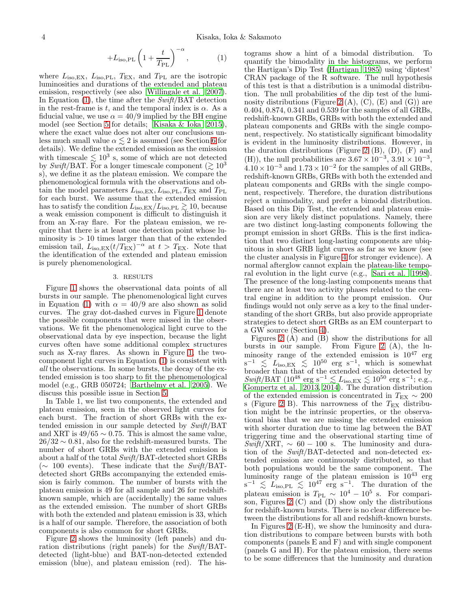$$
+L_{\text{iso,PL}}\left(1+\frac{t}{T_{\text{PL}}}\right)^{-\alpha},\qquad(1)
$$

where  $L_{\text{iso,EX}}$ ,  $L_{\text{iso,PL}}$ ,  $T_{\text{EX}}$ , and  $T_{\text{PL}}$  are the isotropic luminosities and durations of the extended and plateau emission, respectively (see also [Willingale et al. 2007\)](#page-18-17). In Equation  $(1)$ , the time after the Swift/BAT detection in the rest-frame is t, and the temporal index is  $\alpha$ . As a fiducial value, we use  $\alpha = 40/9$  implied by the BH engine model (see Section [5](#page-11-0) for details; [Kisaka & Ioka 2015\)](#page-17-19), where the exact value does not alter our conclusions unless much small value  $\alpha \lesssim 2$  is assumed (see Section [6](#page-14-0) for details). We define the extended emission as the emission with timescale  $\lesssim 10^3$  s, some of which are not detected by Swift/BAT. For a longer timescale component ( $\gtrsim 10^3$ s), we define it as the plateau emission. We compare the phenomenological formula with the observations and obtain the model parameters  $L_{\text{iso,EX}}, L_{\text{iso,PL}}, T_{\text{EX}}$  and  $T_{\text{PL}}$ for each burst. We assume that the extended emission has to satisfy the condition  $L_{\rm iso,EX}/L_{\rm iso,PL} \gtrsim 10$ , because a weak emission component is difficult to distinguish it from an X-ray flare. For the plateau emission, we require that there is at least one detection point whose luminosity is  $> 10$  times larger than that of the extended emission tail,  $L_{\text{iso,EX}}(t/T_{\text{EX}})^{-\alpha}$  at  $t > T_{\text{EX}}$ . Note that the identification of the extended and plateau emission is purely phenomenological.

## 3. RESULTS

Figure [1](#page-4-0) shows the observational data points of all bursts in our sample. The phenomenological light curves in Equation [\(1\)](#page-1-4) with  $\alpha = 40/9$  are also shown as solid curves. The gray dot-dashed curves in Figure [1](#page-4-0) denote the possible components that were missed in the observations. We fit the phenomenological light curve to the observational data by eye inspection, because the light curves often have some additional complex structures such as X-ray flares. As shown in Figure [1,](#page-4-0) the twocomponent light curves in Equation [\(1\)](#page-1-4) is consistent with all the observations. In some bursts, the decay of the extended emission is too sharp to fit the phenomenological model (e.g., GRB 050724; [Barthelmy et al. 2005\)](#page-17-9). We discuss this possible issue in Section [5.](#page-11-0)

In Table 1, we list two components, the extended and plateau emission, seen in the observed light curves for each burst. The fraction of short GRBs with the extended emission in our sample detected by Swift/BAT and XRT is  $49/65 \sim 0.75$ . This is almost the same value,  $26/32 \sim 0.81$ , also for the redshift-measured bursts. The number of short GRBs with the extended emission is about a half of the total Swift/BAT-detected short GRBs  $(\sim 100$  events). These indicate that the Swift/BATdetected short GRBs accompanying the extended emission is fairly common. The number of bursts with the plateau emission is 49 for all sample and 26 for redshiftknown sample, which are (accidentally) the same values as the extended emission. The number of short GRBs with both the extended and plateau emission is 33, which is a half of our sample. Therefore, the association of both components is also common for short GRBs.

Figure [2](#page-8-0) shows the luminosity (left panels) and duration distributions (right panels) for the Swift/BATdetected (light-blue) and BAT-non-detected extended emission (blue), and plateau emission (red). The his-

tograms show a hint of a bimodal distribution. To quantify the bimodality in the histograms, we perform the Hartigan's Dip Test [\(Hartigan 1985](#page-17-58)) using 'diptest' CRAN package of the R software. The null hypothesis of this test is that a distribution is a unimodal distribution. The null probabilities of the dip test of the lumi-nosity distributions (Figure [2](#page-8-0)  $(A)$ ,  $(C)$ ,  $(E)$  and  $(G)$ ) are 0.404, 0.874, 0.341 and 0.539 for the samples of all GRBs, redshift-known GRBs, GRBs with both the extended and plateau components and GRBs with the single component, respectively. No statistically significant bimodality is evident in the luminosity distributions. However, in the duration distributions (Figure [2](#page-8-0)  $(B)$ ,  $(D)$ ,  $(F)$  and (H)), the null probabilities are  $3.67 \times 10^{-3}$ ,  $3.91 \times 10^{-3}$ ,  $4.10 \times 10^{-3}$  and  $1.73 \times 10^{-2}$  for the samples of all GRBs, redshift-known GRBs, GRBs with both the extended and plateau components and GRBs with the single component, respectively. Therefore, the duration distributions reject a unimodality, and prefer a bimodal distribution. Based on this Dip Test, the extended and plateau emission are very likely distinct populations. Namely, there are two distinct long-lasting components following the prompt emission in short GRBs. This is the first indication that two distinct long-lasting components are ubiquitous in short GRB light curves as far as we know (see the cluster analysis in Figure [4](#page-9-0) for stronger evidence). A normal afterglow cannot explain the plateau-like temporal evolution in the light curve (e.g., [Sari et al. 1998](#page-18-18)). The presence of the long-lasting components means that there are at least two activity phases related to the central engine in addition to the prompt emission. Our findings would not only serve as a key to the final understanding of the short GRBs, but also provide appropriate strategies to detect short GRBs as an EM counterpart to a GW source (Section [4\)](#page-10-0).

Figures [2](#page-8-0) (A) and (B) show the distributions for all bursts in our sample. From Figure [2](#page-8-0) (A), the luminosity range of the extended emission is  $10^{47}$  erg  $s^{-1} \leq L_{\text{iso,EX}} \leq 10^{50} \text{ erg s}^{-1}$ , which is somewhat broader than that of the extended emission detected by  $\textit{Swift}/\text{BAT}~(10^{48}~\text{erg}~\text{s}^{-1} \lesssim L_{\text{iso,EX}} \lesssim 10^{50}~\text{erg}~\text{s}^{-1};$  e.g., [Gompertz et al. 2013,](#page-17-17) [2014\)](#page-17-18). The duration distribution of the extended emission is concentrated in  $T_{\text{EX}} \sim 200$ s (Figure [2](#page-8-0) B). This narrowness of the  $T_{EX}$  distribution might be the intrinsic properties, or the observational bias that we are missing the extended emission with shorter duration due to time lag between the BAT triggering time and the observational starting time of  $Swift/XRT$ ,  $\sim$  60 – 100 s. The luminosity and duration of the Swift/BAT-detected and non-detected extended emission are continuously distributed, so that both populations would be the same component. The luminosity range of the plateau emission is  $10^{43}$  erg  $s^{-1} \leq L_{\text{iso, PL}} \leq 10^{47} \text{ erg } s^{-1}$ . The duration of the plateau emission is  $T_{\rm PL} \sim 10^4 - 10^5$  s. For comparison, Figures [2](#page-8-0) (C) and (D) show only the distributions for redshift-known bursts. There is no clear difference between the distributions for all and redshift-known bursts.

In Figures [2](#page-8-0) (E-H), we show the luminosity and duration distributions to compare between bursts with both components (panels E and F) and with single component (panels G and H). For the plateau emission, there seems to be some differences that the luminosity and duration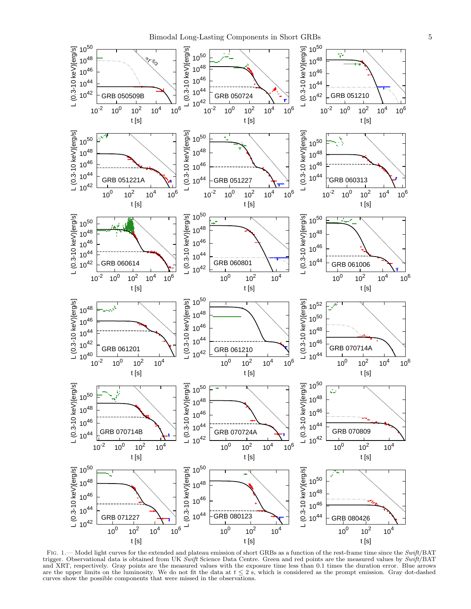

<span id="page-4-0"></span>FIG. 1.— Model light curves for the extended and plateau emission of short GRBs as a function of the rest-frame time since the  $Swift/BAT$ trigger. Observational data is obtained from UK Swift Science Data Centre. Green and red points are the measured values by Swift/BAT and XRT, respectively. Gray points are the measured values with the exposure time less than 0.1 times the duration error. Blue arrows are the upper limits on the luminosity. We do not fit the data at  $t \leq 2$  s, which is considered as the prompt emission. Gray dot-dashed curves show the possible components that were missed in the observations.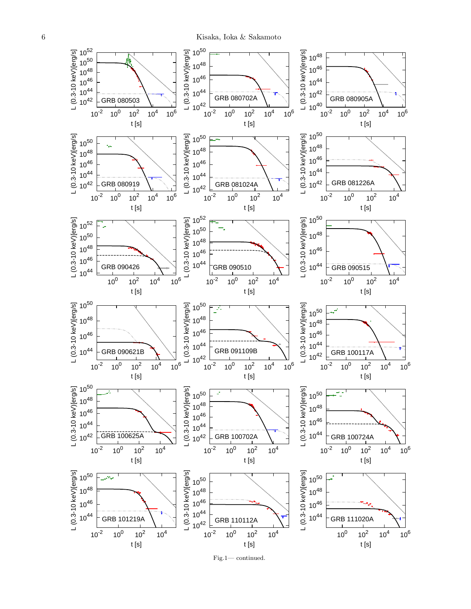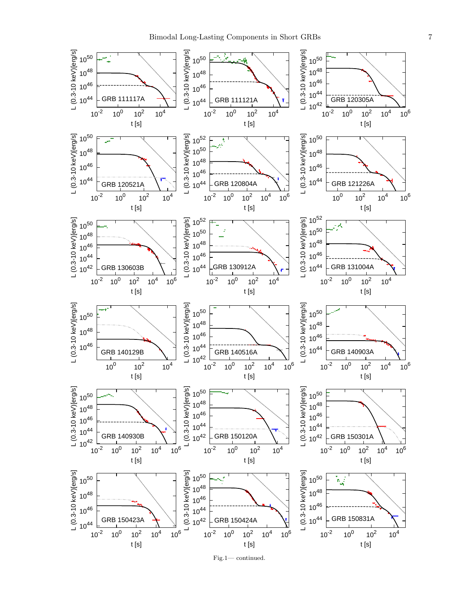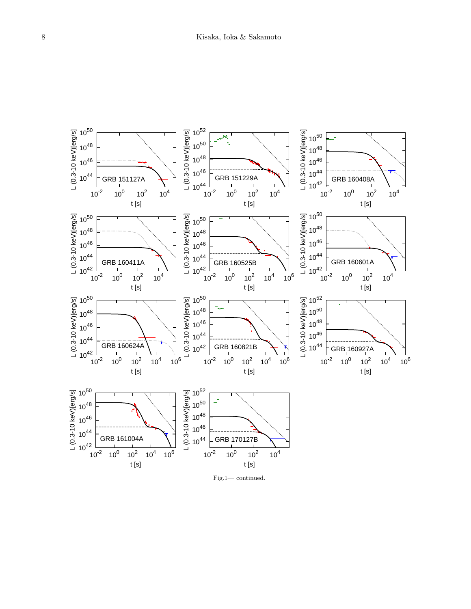

Fig.1— continued.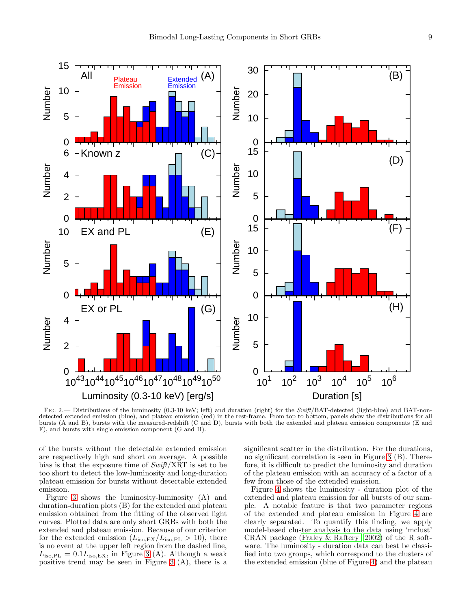

<span id="page-8-0"></span>FIG. 2.— Distributions of the luminosity (0.3-10 keV; left) and duration (right) for the Swift/BAT-detected (light-blue) and BAT-nondetected extended emission (blue), and plateau emission (red) in the rest-frame. From top to bottom, panels show the distributions for all bursts (A and B), bursts with the measured-redshift (C and D), bursts with both the extended and plateau emission components (E and F), and bursts with single emission component (G and H).

of the bursts without the detectable extended emission are respectively high and short on average. A possible bias is that the exposure time of  $\textit{Swift}/\textit{XRT}$  is set to be too short to detect the low-luminosity and long-duration plateau emission for bursts without detectable extended emission.

Figure [3](#page-9-1) shows the luminosity-luminosity (A) and duration-duration plots (B) for the extended and plateau emission obtained from the fitting of the observed light curves. Plotted data are only short GRBs with both the extended and plateau emission. Because of our criterion for the extended emission  $(L_{\rm iso,EX}/L_{\rm iso,PL} > 10)$ , there is no event at the upper left region from the dashed line,  $L_{\rm iso,PL} = 0.1 L_{\rm iso,EX}$ , in Figure [3](#page-9-1) (A). Although a weak positive trend may be seen in Figure [3](#page-9-1) (A), there is a

significant scatter in the distribution. For the durations, no significant correlation is seen in Figure [3](#page-9-1) (B). Therefore, it is difficult to predict the luminosity and duration of the plateau emission with an accuracy of a factor of a few from those of the extended emission.

Figure [4](#page-9-0) shows the luminosity - duration plot of the extended and plateau emission for all bursts of our sample. A notable feature is that two parameter regions of the extended and plateau emission in Figure [4](#page-9-0) are clearly separated. To quantify this finding, we apply model-based cluster analysis to the data using 'mclust' CRAN package [\(Fraley & Raftery 2002\)](#page-17-59) of the R software. The luminosity - duration data can best be classified into two groups, which correspond to the clusters of the extended emission (blue of Figure [4\)](#page-9-0) and the plateau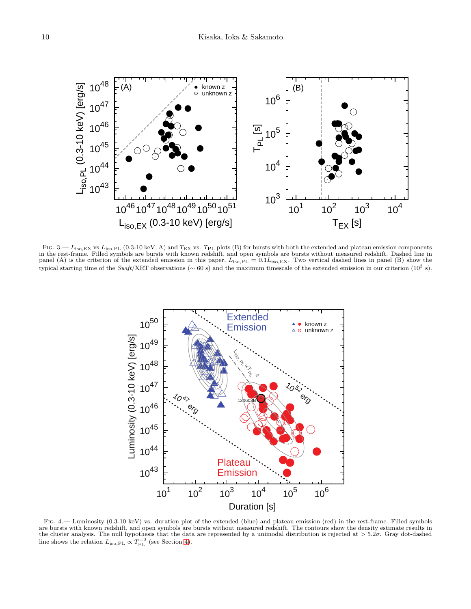

<span id="page-9-1"></span>FIG.  $3 - L_{\text{iso,EX}}$  vs.  $L_{\text{iso,PL}}$  (0.3-10 keV; A) and  $T_{\text{EX}}$  vs.  $T_{\text{PL}}$  plots (B) for bursts with both the extended and plateau emission components in the rest-frame. Filled symbols are bursts with known redshift, and open symbols are bursts without measured redshift. Dashed line in panel (A) is the criterion of the extended emission in this paper,  $L_{\text{iso, PL}} = 0.1L_{\text{iso, EX}}$ . Two vertical dashed lines in panel (B) show the typical starting time of the Swift/XRT observations ( $\sim 60$  s) and the maximum timescale of the extended emission in our criterion (10<sup>3</sup> s).



<span id="page-9-0"></span>Fig. 4.— Luminosity (0.3-10 keV) vs. duration plot of the extended (blue) and plateau emission (red) in the rest-frame. Filled symbols are bursts with known redshift, and open symbols are bursts without measured redshift. The contours show the density estimate results in<br>the cluster analysis. The null hypothesis that the data are represented by a unimoda line shows the relation  $L_{\text{iso,PL}} \propto T_{\text{PL}}^{-2}$  (see Section [4\)](#page-10-0).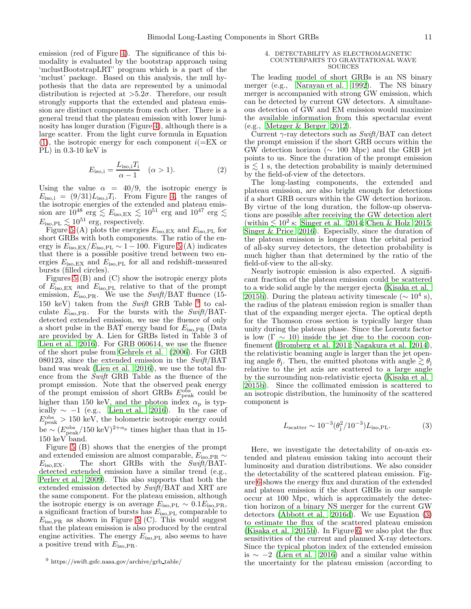emission (red of Figure [4\)](#page-9-0). The significance of this bimodality is evaluated by the bootstrap approach using 'mclustBootstrapLRT' program which is a part of the 'mclust' package. Based on this analysis, the null hypothesis that the data are represented by a unimodal distribution is rejected at  $>5.2\sigma$ . Therefore, our result strongly supports that the extended and plateau emission are distinct components from each other. There is a general trend that the plateau emission with lower luminosity has longer duration (Figure [4\)](#page-9-0), although there is a large scatter. From the light curve formula in Equation  $(1)$ , the isotropic energy for each component  $i(=EX \text{ or }$ PL) in 0.3-10 keV is

$$
E_{\text{iso},i} = \frac{L_{\text{iso},i}T_i}{\alpha - 1} \quad (\alpha > 1). \tag{2}
$$

Using the value  $\alpha = 40/9$ , the isotropic energy is  $E_{\text{iso},i} = (9/31)L_{\text{iso},i}$ ; From Figure [4,](#page-9-0) the ranges of the isotropic energies of the extended and plateau emission are  $10^{48}$  erg  $\lesssim E_{\rm iso, EX} \lesssim 10^{51}$  erg and  $10^{47}$  erg  $\lesssim$  $E_{\text{iso,PL}} \lesssim 10^{51}$  erg, respectively.

Figure [5](#page-11-1) (A) plots the energies  $E_{\text{iso,EX}}$  and  $E_{\text{iso,PL}}$  for short GRBs with both components. The ratio of the energy is  $E_{\text{iso,EX}}/E_{\text{iso,PL}} \sim 1 - 100$ . Figure [5](#page-11-1) (A) indicates that there is a possible positive trend between two energies  $E_{\text{iso,EX}}$  and  $E_{\text{iso,PL}}$  for all and redshift-measured bursts (filled circles).

Figures [5](#page-11-1) (B) and (C) show the isotropic energy plots of  $E_{\text{iso,EX}}$  and  $E_{\text{iso,PL}}$  relative to that of the prompt emission,  $E_{\text{iso,PR}}$ . We use the *Swift*/BAT fluence (15-150 keV) taken from the Swift GRB Table  $9$  to calculate  $E_{\text{iso, PR}}$ . For the bursts with the Swift/BATdetected extended emission, we use the fluence of only a short pulse in the BAT energy band for  $E_{\text{iso, PR}}$  (Data are provided by A. Lien for GRBs listed in Table 3 of [Lien et al. 2016](#page-17-13)). For GRB 060614, we use the fluence of the short pulse from [Gehrels et al. \(2006\)](#page-17-60). For GRB 080123, since the extended emission in the  $Swith/BAT$ band was weak [\(Lien et al. 2016\)](#page-17-13), we use the total fluence from the Swift GRB Table as the fluence of the prompt emission. Note that the observed peak energy of the prompt emission of short GRBs  $E_{\rm peak}^{\rm obs}$  could be higher than 150 keV, and the photon index  $\alpha_{\rm p}$  is typically  $\sim -1$  (e.g., [Lien et al. 2016\)](#page-17-13). In the case of  $E_{\text{peak}}^{\text{obs}} > 150 \text{ keV}$ , the bolometric isotropic energy could be  $\sim (E_{\rm peak}^{\rm obs}/150 \,\text{keV})^{2+\alpha_{\rm p}}$  times higher than that in 15-150 keV band.

Figure [5](#page-11-1) (B) shows that the energies of the prompt and extended emission are almost comparable,  $E_{\text{iso,PR}} \sim$  $E_{\text{iso,EX}}$ . The short GRBs with the Swift/BATdetected extended emission have a similar trend (e.g., [Perley et al. 2009\)](#page-18-3). This also supports that both the extended emission detected by Swift/BAT and XRT are the same component. For the plateau emission, although the isotropic energy is on average  $E_{\text{iso,PL}} \sim 0.1 E_{\text{iso,PR}}$ , a significant fraction of bursts has  $E_{\text{iso,PL}}$  comparable to  $E_{\text{iso,PR}}$  as shown in Figure [5](#page-11-1) (C). This would suggest that the plateau emission is also produced by the central engine activities. The energy  $E_{\text{iso,PL}}$  also seems to have a positive trend with  $E_{\text{iso,PR}}$ .

#### <span id="page-10-0"></span>4. DETECTABILITY AS ELECTROMAGNETIC COUNTERPARTS TO GRAVITATIONAL WAVE SOURCES

The leading model of short GRBs is an NS binary merger (e.g., [Narayan et al. 1992\)](#page-18-1). The NS binary merger is accompanied with strong GW emission, which can be detected by current GW detectors. A simultaneous detection of GW and EM emission would maximize the available information from this spectacular event (e.g., [Metzger & Berger 2012\)](#page-17-7).

Current  $\gamma$ -ray detectors such as  $Swift/BAT$  can detect the prompt emission if the short GRB occurs within the GW detection horizon ( $\sim 100$  Mpc) and the GRB jet points to us. Since the duration of the prompt emission is  $\leq 1$  s, the detection probability is mainly determined by the field-of-view of the detectors.

The long-lasting components, the extended and plateau emission, are also bright enough for detections if a short GRB occurs within the GW detection horizon. By virtue of the long duration, the follow-up observations are possible after receiving the GW detection alert (within  $\lesssim 10^2$  s; [Singer et al. 2014](#page-18-19); [Chen & Holz 2015](#page-17-61); Singer  $\&$  Price 2016). Especially, since the duration of the plateau emission is longer than the orbital period of all-sky survey detectors, the detection probability is much higher than that determined by the ratio of the field-of-view to the all-sky.

Nearly isotropic emission is also expected. A significant fraction of the plateau emission could be scattered to a wide solid angle by the merger ejecta [\(Kisaka et al.](#page-17-26) [2015b](#page-17-26)). During the plateau activity timescale  $({\sim 10^4 \text{ s}})$ , the radius of the plateau emission region is smaller than that of the expanding merger ejecta. The optical depth for the Thomson cross section is typically larger than unity during the plateau phase. Since the Lorentz factor is low  $(\Gamma \sim 10)$  inside the jet due to the cocoon confinement [\(Bromberg et al. 2011](#page-17-62); [Nagakura et al. 2014](#page-17-63)), the relativistic beaming angle is larger than the jet opening angle  $\theta_j$ . Then, the emitted photons with angle  $\gtrsim \theta_j$ relative to the jet axis are scattered to a large angle by the surrounding non-relativistic ejecta [\(Kisaka et al.](#page-17-26) [2015b](#page-17-26)). Since the collimated emission is scattered to an isotropic distribution, the luminosity of the scattered component is

<span id="page-10-2"></span>
$$
L_{\text{scatter}} \sim 10^{-3} (\theta_{\text{j}}^2 / 10^{-3}) L_{\text{iso, PL}}.\tag{3}
$$

Here, we investigate the detectability of on-axis extended and plateau emission taking into account their luminosity and duration distributions. We also consider the detectability of the scattered plateau emission. Figure [6](#page-12-0) shows the energy flux and duration of the extended and plateau emission if the short GRBs in our sample occur at 100 Mpc, which is approximately the detection horizon of a binary NS merger for the current GW detectors [\(Abbott et al. 2016d\)](#page-17-6). We use Equation [\(3\)](#page-10-2) to estimate the flux of the scattered plateau emission [\(Kisaka et al. 2015b\)](#page-17-26). In Figure [6,](#page-12-0) we also plot the flux sensitivities of the current and planned X-ray detectors. Since the typical photon index of the extended emission is ∼ −2 [\(Lien et al. 2016\)](#page-17-13) and a similar value within the uncertainty for the plateau emission (according to

<span id="page-10-1"></span><sup>9</sup> https://swift.gsfc.nasa.gov/archive/grb table/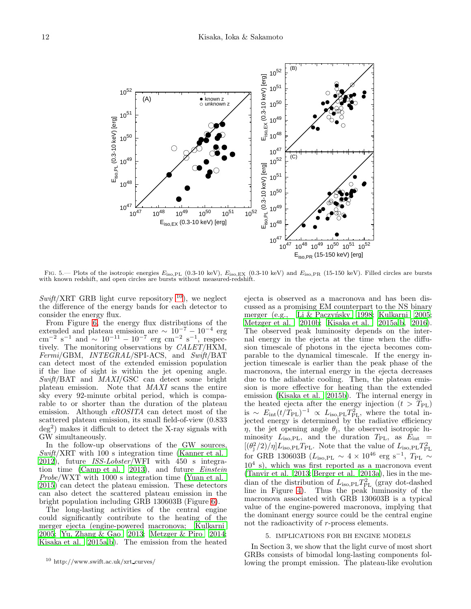

<span id="page-11-1"></span>FIG. 5.— Plots of the isotropic energies  $E_{\text{iso, PL}}$  (0.3-10 keV),  $E_{\text{iso, EX}}$  (0.3-10 keV) and  $E_{\text{iso, PR}}$  (15-150 keV). Filled circles are bursts with known redshift, and open circles are bursts without measured-redshift.

 $Swift/XRT$  GRB light curve repository <sup>[10](#page-11-2)</sup>), we neglect the difference of the energy bands for each detector to consider the energy flux.

From Figure [6,](#page-12-0) the energy flux distributions of the extended and plateau emission are  $\sim 10^{-7} - 10^{-4}$  erg cm<sup>-2</sup> s<sup>-1</sup> and  $\sim 10^{-11} - 10^{-7}$  erg cm<sup>-2</sup> s<sup>-1</sup>, respectively. The monitoring observations by CALET/HXM, Fermi/GBM, INTEGRAL/SPI-ACS, and Swift/BAT can detect most of the extended emission population if the line of sight is within the jet opening angle. Swift/BAT and MAXI/GSC can detect some bright plateau emission. Note that MAXI scans the entire sky every 92-minute orbital period, which is comparable to or shorter than the duration of the plateau emission. Although eROSITA can detect most of the scattered plateau emission, its small field-of-view (0.833 deg<sup>2</sup> ) makes it difficult to detect the X-ray signals with GW simultaneously.

In the follow-up observations of the GW sources, Swift/XRT with 100 s integration time [\(Kanner et al.](#page-17-64) [2012\)](#page-17-64), future *ISS-Lobster*/WFI with 450 s integra-tion time [\(Camp et al. 2013](#page-17-65)), and future  $Einstein$ Probe/WXT with 1000 s integration time [\(Yuan et al.](#page-18-21) [2015\)](#page-18-21) can detect the plateau emission. These detectors can also detect the scattered plateau emission in the bright population including GRB 130603B (Figure [6\)](#page-12-0).

The long-lasting activities of the central engine could significantly contribute to the heating of the merger ejecta (engine-powered macronova; [Kulkarni](#page-17-30) [2005;](#page-17-30) [Yu, Zhang & Gao 2013](#page-18-8); [Metzger & Piro 2014;](#page-17-23) [Kisaka et al. 2015a](#page-17-25)[,b](#page-17-26)). The emission from the heated

ejecta is observed as a macronova and has been discussed as a promising EM counterpart to the NS binary merger (e.g., Li & Paczyńsky 1998; [Kulkarni 2005](#page-17-30); [Metzger et al. 2010b;](#page-17-32) [Kisaka et al. 2015a](#page-17-25)[,b](#page-17-26), [2016](#page-17-66)). The observed peak luminosity depends on the internal energy in the ejecta at the time when the diffusion timescale of photons in the ejecta becomes comparable to the dynamical timescale. If the energy injection timescale is earlier than the peak phase of the macronova, the internal energy in the ejecta decreases due to the adiabatic cooling. Then, the plateau emission is more effective for heating than the extended emission [\(Kisaka et al. 2015b](#page-17-26)). The internal energy in the heated ejecta after the energy injection  $(t > T_{PL})$ is  $\sim E_{\text{int}}(t/T_{\text{PL}})^{-1} \propto L_{\text{iso,PL}} T_{\text{PL}}^2$ , where the total injected energy is determined by the radiative efficiency  $\eta$ , the jet opening angle  $\theta_j$ , the observed isotropic luminosity  $L_{\text{iso,PL}}$ , and the duration  $T_{\text{PL}}$ , as  $\dot{E}_{\text{int}}$  =  $[(\theta_j^2/2)/\eta]L_{\text{iso,PL}}T_{\text{PL}}$ . Note that the value of  $L_{\text{iso,PL}}T_{\text{PL}}^2$ for GRB 130603B ( $L_{\rm iso, PL} \sim 4 \times 10^{46}$  erg s<sup>-1</sup>,  $T_{\rm PL} \sim$  $10<sup>4</sup>$  s), which was first reported as a macronova event [\(Tanvir et al. 2013](#page-18-22); [Berger et al. 2013a\)](#page-17-67), lies in the median of the distribution of  $L_{\text{iso,PL}}T_{\text{PL}}^2$  (gray dot-dashed line in Figure [4\)](#page-9-0). Thus the peak luminosity of the macronova associated with GRB 130603B is a typical value of the engine-powered macronova, implying that the dominant energy source could be the central engine not the radioactivity of r-process elements.

#### 5. IMPLICATIONS FOR BH ENGINE MODELS

<span id="page-11-0"></span>In Section 3, we show that the light curve of most short GRBs consists of bimodal long-lasting components following the prompt emission. The plateau-like evolution

<span id="page-11-2"></span><sup>10</sup> http://www.swift.ac.uk/xrt curves/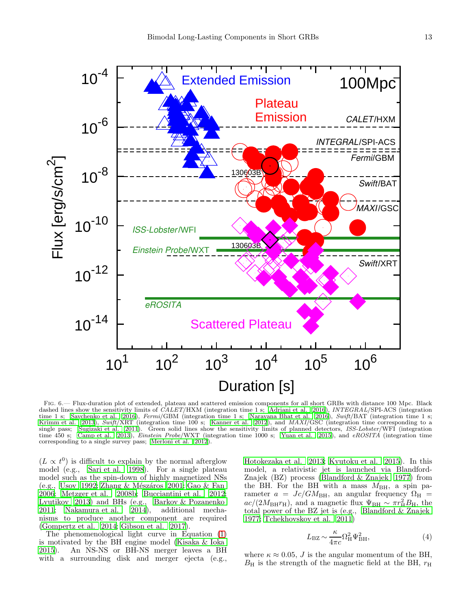

<span id="page-12-0"></span>Fig. 6.— Flux-duration plot of extended, plateau and scattered emission components for all short GRBs with distance 100 Mpc. Black dashed lines show the sensitivity limits of CALET/HXM (integration time 1 s; [Adriani et al. 2016](#page-17-68)), INTEGRAL/SPI-ACS (integration time 1 s; [Savchenko et al. 2016](#page-18-23)), Fermi/GBM (integration time 1 s; [Narayana Bhat et al. 2016](#page-18-24)), Swift/BAT (integration time 1 s; [Krimm et al. 2013](#page-17-69)), Swift/XRT (integration time 100 s; [Kanner et al. 2012\)](#page-17-64), and MAXI/GSC (integration time corresponding to a single pass; [Sugizaki et al. 2011\)](#page-18-25). Green solid lines show the sensitivity limits of planned detectors, ISS-Lobster/WFI (integration time 450 s; [Camp et al. 2013](#page-17-65)), *Einstein Probe*/WXT (integration time 1000 s; [Yuan et al. 2015\)](#page-18-21), and *eROSITA* (integration time corresponding to a single survey pass; [Merloni et al. 2012](#page-17-70)).

 $(L \propto t^0)$  is difficult to explain by the normal afterglow model (e.g., [Sari et al. 1998\)](#page-18-18). For a single plateau model such as the spin-down of highly magnetized NSs (e.g., [Usov 1992;](#page-18-26) Zhang & Mészáros 2001; [Gao & Fan](#page-17-71) [2006;](#page-17-71) [Metzger et al. 2008b](#page-17-21); [Bucciantini et al. 2012;](#page-17-22) [Lyutikov 2013](#page-17-72)) and BHs (e.g., [Barkov & Pozanenko](#page-17-73) [2011;](#page-17-73) [Nakamura et al. 2014\)](#page-17-24), additional mechanisms to produce another component are required [\(Gompertz et al. 2014;](#page-17-18) [Gibson et al. 2017](#page-17-20)).

The phenomenological light curve in Equation [\(1\)](#page-1-4) is motivated by the BH engine model [\(Kisaka & Ioka](#page-17-19) [2015\)](#page-17-19). An NS-NS or BH-NS merger leaves a BH with a surrounding disk and merger ejecta (e.g., [Hotokezaka et al. 2013](#page-17-74); [Kyutoku et al. 2015\)](#page-17-75). In this model, a relativistic jet is launched via Blandford-Znajek (BZ) process [\(Blandford & Znajek 1977](#page-17-76)) from the BH. For the BH with a mass  $M_{\text{BH}}$ , a spin parameter  $a = Jc/GM_{\text{BH}}$ , an angular frequency  $\Omega_{\text{H}}$  =  $ac/(2M_{\rm BH}r_{\rm H})$ , and a magnetic flux  $\Psi_{\rm BH} \sim \pi r_{\rm H}^2 B_{\rm H}$ , the total power of the BZ jet is (e.g., Blandford  $\&$  Znajek [1977;](#page-17-76) [Tchekhovskoy et al. 2011\)](#page-18-28)

$$
L_{\rm BZ} \sim \frac{\kappa}{4\pi c} \Omega_{\rm H}^2 \Psi_{\rm BH}^2,\tag{4}
$$

where  $\kappa \approx 0.05$ , J is the angular momentum of the BH,  $B_{\rm H}$  is the strength of the magnetic field at the BH,  $r_{\rm H}$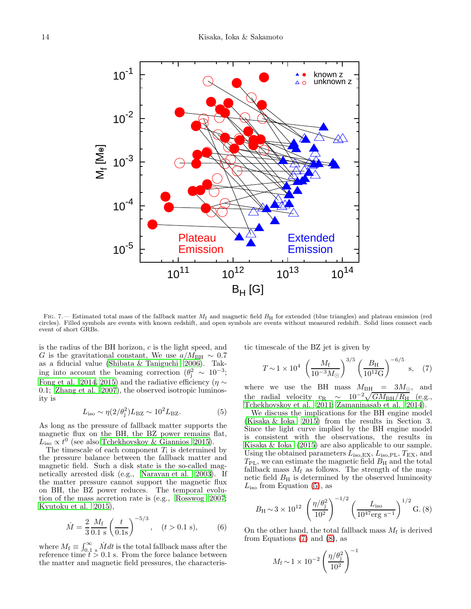

<span id="page-13-3"></span>FIG. 7.— Estimated total mass of the fallback matter  $M_f$  and magnetic field  $B_H$  for extended (blue triangles) and plateau emission (red circles). Filled symbols are events with known redshift, and open symbols are events without measured redshift. Solid lines connect each event of short GRBs.

is the radius of the BH horizon,  $c$  is the light speed, and G is the gravitational constant, We use  $a/M_{\rm BH} \sim 0.7$ as a fiducial value [\(Shibata & Taniguchi 2006\)](#page-18-29). Taking into account the beaming correction  $(\theta_j^2 \sim 10^{-3})$ ; [Fong et al. 2014,](#page-17-77) [2015\)](#page-17-78) and the radiative efficiency ( $\eta \sim$ 0.1; [Zhang et al. 2007\)](#page-18-30), the observed isotropic luminosity is

<span id="page-13-0"></span>
$$
L_{\rm iso} \sim \eta (2/\theta_{\rm j}^2) L_{\rm BZ} \sim 10^2 L_{\rm BZ}.
$$
 (5)

As long as the pressure of fallback matter supports the magnetic flux on the BH, the BZ power remains flat,  $L_{\text{iso}} \propto t^0$  (see also [Tchekhovskoy & Giannios 2015\)](#page-18-31).

The timescale of each component  $T_i$  is determined by the pressure balance between the fallback matter and magnetic field. Such a disk state is the so-called magnetically arrested disk (e.g., [Narayan et al. 2003\)](#page-18-32). If the matter pressure cannot support the magnetic flux on BH, the BZ power reduces. The temporal evolution of the mass accretion rate is (e.g., [Rosswog 2007;](#page-18-33) [Kyutoku et al. 2015](#page-17-75)),

$$
\dot{M} = \frac{2}{3} \frac{M_{\rm f}}{0.1 \text{ s}} \left(\frac{t}{0.1 \text{s}}\right)^{-5/3}, \quad (t > 0.1 \text{ s}), \tag{6}
$$

where  $M_f \equiv \int_{0.1}^{\infty} \dot{M} dt$  is the total fallback mass after the reference time  $t > 0.1$  s. From the force balance between the matter and magnetic field pressures, the characteristic timescale of the BZ jet is given by

<span id="page-13-1"></span>
$$
T \sim 1 \times 10^4 \left(\frac{M_{\rm f}}{10^{-3} M_{\odot}}\right)^{3/5} \left(\frac{B_{\rm H}}{10^{12} \rm G}\right)^{-6/5} \text{ s}, \quad (7)
$$

where we use the BH mass  $M_{\text{BH}}$  =  $3M_{\odot}$ , and the radial velocity  $v_{\rm R} \sim 10^{-2}\sqrt{GM_{\rm BH}/R_{\rm H}}$  (e.g., [Tchekhovskoy et al. 2011;](#page-18-28) [Zamaninasab et al. 2014\)](#page-18-34).

We discuss the implications for the BH engine model [\(Kisaka & Ioka 2015\)](#page-17-19) from the results in Section 3. Since the light curve implied by the BH engine model is consistent with the observations, the results in [Kisaka & Ioka \(2015\)](#page-17-19) are also applicable to our sample. Using the obtained parameters  $L_{\rm iso, EX}$ ,  $L_{\rm iso, PL}$ ,  $T_{\rm EX}$ , and  $T_{\rm PL}$ , we can estimate the magnetic field  $B_{\rm H}$  and the total fallback mass  $M_f$  as follows. The strength of the magnetic field  $B_H$  is determined by the observed luminosity  $L<sub>iso</sub>$  from Equation [\(5\)](#page-13-0), as

<span id="page-13-2"></span>
$$
B_{\rm H} \sim 3 \times 10^{12} \left( \frac{\eta/\theta_{\rm j}^2}{10^2} \right)^{-1/2} \left( \frac{L_{\rm iso}}{10^{47} \text{erg s}^{-1}} \right)^{1/2} \text{G. (8)}
$$

On the other hand, the total fallback mass  $M_f$  is derived from Equations  $(7)$  and  $(8)$ , as

<span id="page-13-4"></span>
$$
M_{\rm f} \sim 1 \times 10^{-2} \left( \frac{\eta/\theta_{\rm j}^2}{10^2} \right)^{-1}
$$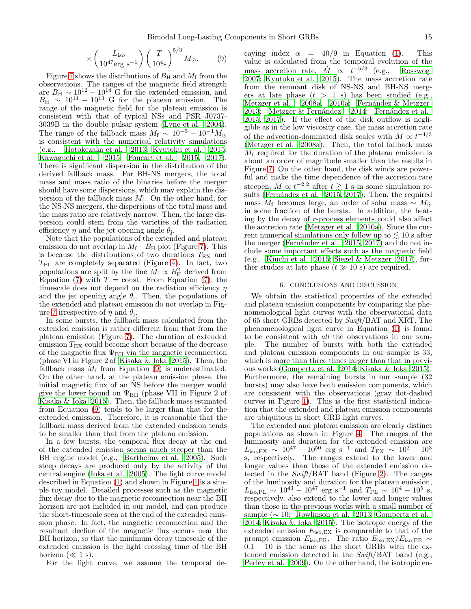$$
\times \left(\frac{L_{\text{iso}}}{10^{47} \text{erg s}^{-1}}\right) \left(\frac{T}{10^4 \text{s}}\right)^{5/3} M_{\odot}.
$$
 (9)

Figure [7](#page-13-3) shows the distributions of  $B_H$  and  $M_f$  from the observations. The ranges of the magnetic field strength are  $B_H \sim 10^{12} - 10^{14}$  G for the extended emission, and  $B_H \sim 10^{11} - 10^{13}$  G for the plateau emission. The range of the magnetic field for the plateau emission is consistent with that of typical NSs and PSR J0737- 3039B in the double pulsar system [\(Lyne et al. 2004\)](#page-17-79). The range of the fallback mass  $M_f \sim 10^{-5} - 10^{-1} M_{\odot}$ is consistent with the numerical relativity simulations (e.g., [Hotokezaka et al. 2013;](#page-17-74) [Kyutoku et al. 2015;](#page-17-75) [Kawaguchi et al. 2015;](#page-17-80) [Foucart et al. 2015,](#page-17-81) [2017\)](#page-17-82). There is significant dispersion in the distribution of the derived fallback mass. For BH-NS mergers, the total mass and mass ratio of the binaries before the merger should have some dispersions, which may explain the dispersion of the fallback mass  $M_f$ . On the other hand, for the NS-NS mergers, the dispersions of the total mass and the mass ratio are relatively narrow. Then, the large dispersion could stem from the varieties of the radiation efficiency  $\eta$  and the jet opening angle  $\theta_j$ .

Note that the populations of the extended and plateau emission do not overlap in  $M_f - B_H$  plot (Figure [7\)](#page-13-3). This is because the distributions of two durations  $T_{\text{EX}}$  and  $T_{PL}$  are completely separated (Figure [4\)](#page-9-0). In fact, two populations are split by the line  $M_f \propto B_H^2$  derived from Equation [\(7\)](#page-13-1) with  $T = \text{const.}$  From Equation (7), the timescale does not depend on the radiation efficiency  $\eta$ and the jet opening angle  $\theta_j$ . Then, the populations of the extended and plateau emission do not overlap in Fig-ure [7](#page-13-3) irrespective of  $\eta$  and  $\theta_j$ .

In some bursts, the fallback mass calculated from the extended emission is rather different from that from the plateau emission (Figure [7\)](#page-13-3). The duration of extended emission  $T_{\rm EX}$  could become short because of the decrease of the magnetic flux  $\Psi_{\text{BH}}$  via the magnetic reconnection (phase VI in Figure 2 of [Kisaka & Ioka 2015\)](#page-17-19). Then, the fallback mass  $M_f$  from Equation [\(9\)](#page-13-4) is underestimated. On the other hand, at the plateau emission phase, the initial magnetic flux of an NS before the merger would give the lower bound on  $\Psi_{\text{BH}}$  (phase VII in Figure 2 of [Kisaka & Ioka 2015](#page-17-19)). Then, the fallback mass estimated from Equation [\(9\)](#page-13-4) tends to be larger than that for the extended emission. Therefore, it is reasonable that the fallback mass derived from the extended emission tends to be smaller than that from the plateau emission.

In a few bursts, the temporal flux decay at the end of the extended emission seems much steeper than the BH engine model (e.g., [Barthelmy et al. 2005\)](#page-17-9). Such steep decays are produced only by the activity of the central engine [\(Ioka et al. 2005\)](#page-17-10). The light curve model described in Equation [\(1\)](#page-1-4) and shown in Figure [1](#page-4-0) is a simple toy model. Detailed processes such as the magnetic flux decay due to the magnetic reconnection near the BH horizon are not included in our model, and can produce the short-timescale seen at the end of the extended emission phase. In fact, the magnetic reconnection and the resultant decline of the magnetic flux occurs near the BH horizon, so that the minimum decay timescale of the extended emission is the light crossing time of the BH horizon  $(\ll 1 \text{ s})$ .

For the light curve, we assume the temporal de-

caying index  $\alpha = 40/9$  in Equation [\(1\)](#page-1-4). This value is calculated from the temporal evolution of the mass accretion rate,  $\dot{M} \propto t^{-5/3}$  (e.g., [Rosswog](#page-18-33) [2007;](#page-18-33) [Kyutoku et al. 2015\)](#page-17-75). The mass accretion rate from the remnant disk of NS-NS and BH-NS mergers at late phase  $(t > 1$  s) has been studied (e.g., Metzger et al.  $2008a$ ,  $2010a$ ; Fernández & Metzger [2013;](#page-17-85) Metzger & Fernández 2014; Fernández et al. [2015,](#page-17-87) [2017\)](#page-17-88). If the effect of the disk outflow is negligible as in the low viscosity case, the mass accretion rate of the advection-dominated disk scales with  $\dot{M}$   $\propto$   $t^{-4/3}$ [\(Metzger et al. 2008a\)](#page-17-83). Then, the total fallback mass  $M_f$  required for the duration of the plateau emission is about an order of magnitude smaller than the results in Figure [7.](#page-13-3) On the other hand, the disk winds are powerful and make the time dependence of the accretion rate steepen,  $\dot{M} \propto t^{-2.2}$  after  $t \gtrsim 1$  s in some simulation re-sults (Fernández et al. 2015, [2017\)](#page-17-88). Then, the required mass  $M_f$  becomes large, an order of solar mass ~  $M_{\odot}$ in some fraction of the bursts. In addition, the heating by the decay of r-process elements could also affect the accretion rate [\(Metzger et al. 2010a](#page-17-84)). Since the current numerical simulations only follow up to  $\leq 10$  s after the merger (Fernández et al.  $2015$ ,  $2017$ ) and do not include some important effects such as the magnetic field (e.g., [Kiuchi et al. 2015;](#page-17-89) [Siegel & Metzger 2017\)](#page-18-35), further studies at late phase  $(t \gg 10 \text{ s})$  are required.

## 6. CONCLUSIONS AND DISCUSSION

<span id="page-14-0"></span>We obtain the statistical properties of the extended and plateau emission components by comparing the phenomenological light curves with the observational data of 65 short GRBs detected by Swift/BAT and XRT. The phenomenological light curve in Equation [\(1\)](#page-1-4) is found to be consistent with all the observations in our sample. The number of bursts with both the extended and plateau emission components in our sample is 33, which is more than three times larger than that in previous works [\(Gompertz et al. 2014](#page-17-18); [Kisaka & Ioka 2015](#page-17-19)). Furthermore, the remaining bursts in our sample (32 bursts) may also have both emission components, which are consistent with the observations (gray dot-dashed curves in Figure [1\)](#page-4-0). This is the first statistical indication that the extended and plateau emission components are ubiquitous in short GRB light curves.

The extended and plateau emission are clearly distinct populations as shown in Figure [4.](#page-9-0) The ranges of the luminosity and duration for the extended emission are  $L_{\rm iso, EX} \sim 10^{47} - 10^{50}$  erg s<sup>-1</sup> and  $T_{\rm EX} \sim 10^2 - 10^3$ s, respectively. The ranges extend to the lower and longer values than those of the extended emission detected in the Swift/BAT band (Figure [2\)](#page-8-0). The ranges of the luminosity and duration for the plateau emission,  $L_{\text{iso,PL}} \sim 10^{43} - 10^{47} \text{ erg s}^{-1} \text{ and } T_{\text{PL}} \sim 10^{4} - 10^{5} \text{ s},$ respectively, also extend to the lower and longer values than those in the previous works with a small number of sample ( $\sim$  10; [Rowlinson et al. 2013;](#page-18-6) [Gompertz et al.](#page-17-18) [2014;](#page-17-18) [Kisaka & Ioka 2015](#page-17-19)). The isotropic energy of the extended emission  $E_{\text{iso,EX}}$  is comparable to that of the prompt emission  $E_{\text{iso,PR}}$ . The ratio  $E_{\text{iso,EX}}/E_{\text{iso,PR}}$  ~  $0.1 - 10$  is the same as the short GRBs with the extended emission detected in the Swift/BAT band (e.g., [Perley et al. 2009](#page-18-3)). On the other hand, the isotropic en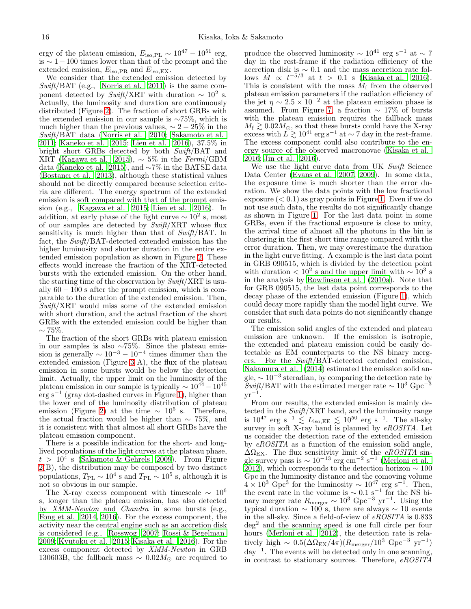ergy of the plateau emission,  $E_{\text{iso,PL}} \sim 10^{47} - 10^{51}$  erg, is ∼ 1−100 times lower than that of the prompt and the extended emission,  $E_{\text{iso,PR}}$  and  $E_{\text{iso,EX}}$ .

We consider that the extended emission detected by  $Swift/BAT$  (e.g., [Norris et al. 2011\)](#page-18-36) is the same component detected by  $Swift/XRT$  with duration  $\sim 10^2$  s. Actually, the luminosity and duration are continuously distributed (Figure [2\)](#page-8-0). The fraction of short GRBs with the extended emission in our sample is ∼75%, which is much higher than the previous values,  $\sim 2-25\%$  in the Swift/BAT data [\(Norris et al. 2010;](#page-18-4) [Sakamoto et al.](#page-18-5) [2011;](#page-18-5) [Kaneko et al. 2015;](#page-17-12) [Lien et al. 2016](#page-17-13)), 37.5% in bright short GRBs detected by both Swift/BAT and XRT [\(Kagawa et al. 2015\)](#page-17-14),  $\sim$  5% in the Fermi/GBM data [\(Kaneko et al. 2015\)](#page-17-12), and ∼7% in the BATSE data [\(Bostancı et al. 2013\)](#page-17-11), although these statistical values should not be directly compared because selection criteria are different. The energy spectrum of the extended emission is soft compared with that of the prompt emission (e.g., [Kagawa et al. 2015;](#page-17-14) [Lien et al. 2016\)](#page-17-13). In addition, at early phase of the light curve  $\sim 10^2$  s, most of our samples are detected by Swift/XRT whose flux sensitivity is much higher than that of Swift/BAT. In fact, the Swift/BAT-detected extended emission has the higher luminosity and shorter duration in the entire extended emission population as shown in Figure [2.](#page-8-0) These effects would increase the fraction of the XRT-detected bursts with the extended emission. On the other hand, the starting time of the observation by  $Swith/XRT$  is usually  $60 - 100$  s after the prompt emission, which is comparable to the duration of the extended emission. Then,  $Swift/XRT$  would miss some of the extended emission with short duration, and the actual fraction of the short GRBs with the extended emission could be higher than  $\sim 75\%.$ 

The fraction of the short GRBs with plateau emission in our samples is also ∼75%. Since the plateau emission is generally  $\sim 10^{-3} - 10^{-4}$  times dimmer than the extended emission (Figure [3](#page-9-1) A), the flux of the plateau emission in some bursts would be below the detection limit. Actually, the upper limit on the luminosity of the plateau emission in our sample is typically  $\sim 10^{44} - 10^{45}$ erg s<sup>−</sup><sup>1</sup> (gray dot-dashed curves in Figure [1\)](#page-4-0), higher than the lower end of the luminosity distribution of plateau emission (Figure [2\)](#page-8-0) at the time  $\sim 10^5$  s. Therefore, the actual fraction would be higher than  $\sim 75\%$ , and it is consistent with that almost all short GRBs have the plateau emission component.

There is a possible indication for the short- and longlived populations of the light curves at the plateau phase,  $t > 10^4$  s [\(Sakamoto & Gehrels 2009](#page-18-37)). From Figure [2\(](#page-8-0)B), the distribution may be composed by two distinct populations,  $T_{\rm PL} \sim 10^4$  s and  $T_{\rm PL} \sim 10^5$  s, although it is not so obvious in our sample.

The X-ray excess component with timescale  $\sim 10^6$ s, longer than the plateau emission, has also detected by XMM-Newton and Chandra in some bursts (e.g., [Fong et al. 2014](#page-17-77), [2016](#page-17-90)). For the excess component, the activity near the central engine such as an accretion disk is considered (e.g., [Rosswog 2007](#page-18-33); [Rossi & Begelman](#page-18-38) [2009;](#page-18-38) [Kyutoku et al. 2015;](#page-17-75) [Kisaka et al. 2016\)](#page-17-66). For the excess component detected by XMM-Newton in GRB 130603B, the fallback mass  $\sim 0.02 M_{\odot}$  are required to

produce the observed luminosity  $\sim 10^{41}$  erg s<sup>-1</sup> at  $\sim 7$ day in the rest-frame if the radiation efficiency of the accretion disk is ∼ 0.1 and the mass accretion rate follows  $\dot{M} \propto t^{-5/3}$  at  $t > 0.1$  s [\(Kisaka et al. 2016](#page-17-66)). This is consistent with the mass  $\dot{M}_{\rm f}$  from the observed plateau emission parameters if the radiation efficiency of the jet  $\eta \sim 2.5 \times 10^{-2}$  at the plateau emission phase is assumed. From Figure [7,](#page-13-3) a fraction  $\sim 17\%$  of bursts with the plateau emission requires the fallback mass  $M_{\rm f} \gtrsim 0.02 M_\odot$ , so that these bursts could have the X-ray excess with  $L \gtrsim 10^{41}$  erg s<sup>-1</sup> at ~7 day in the rest-frame. The excess component could also contribute to the energy source of the observed macronovae [\(Kisaka et al.](#page-17-66) [2016;](#page-17-66) [Jin et al. 2016](#page-17-91)).

We use the light curve data from UK Swift Science Data Center [\(Evans et al. 2007](#page-17-35), [2009](#page-17-36)). In some data, the exposure time is much shorter than the error duration. We show the data points with the low fractional exposure  $( $0.1$ ) as gray points in Figure 1. Even if we do$  $( $0.1$ ) as gray points in Figure 1. Even if we do$  $( $0.1$ ) as gray points in Figure 1. Even if we do$ not use such data, the results do not significantly change as shown in Figure [1.](#page-4-0) For the last data point in some GRBs, even if the fractional exposure is close to unity, the arrival time of almost all the photons in the bin is clustering in the first short time range compared with the error duration. Then, we may overestimate the duration in the light curve fitting. A example is the last data point in GRB 090515, which is divided by the detection point with duration  $< 10<sup>2</sup>$  s and the upper limit with  $\sim 10<sup>3</sup>$  s in the analysis by [Rowlinson et al. \(2010a\)](#page-18-39). Note that for GRB 090515, the last data point corresponds to the decay phase of the extended emission (Figure [1\)](#page-4-0), which could decay more rapidly than the model light curve. We consider that such data points do not significantly change our results.

The emission solid angles of the extended and plateau emission are unknown. If the emission is isotropic, the extended and plateau emission could be easily detectable as EM counterparts to the NS binary mergers. For the Swift/BAT-detected extended emission, [Nakamura et al. \(2014\)](#page-17-24) estimated the emission solid angle,  $\sim 10^{-3}$  steradian, by comparing the detection rate by  $Swift/BAT$  with the estimated merger rate  $\sim 10^3$  Gpc<sup>-3</sup>  $\rm{yr}^{-1}.$ 

From our results, the extended emission is mainly detected in the Swift/XRT band, and the luminosity range is  $10^{47}$  erg s<sup>-1</sup>  $\lesssim L_{\text{iso,EE}} \lesssim 10^{50}$  erg s<sup>-1</sup>. The all-sky survey in soft X-ray band is planned by eROSITA. Let us consider the detection rate of the extended emission by eROSITA as a function of the emission solid angle,  $\Delta\Omega_{\rm EX}$ . The flux sensitivity limit of the eROSITA single survey pass is  $\sim 10^{-13}$  erg cm<sup>-2</sup> s<sup>-1</sup> [\(Merloni et al.](#page-17-70) [2012\)](#page-17-70), which corresponds to the detection horizon  $\sim 100$ Gpc in the luminosity distance and the comoving volume  $4 \times 10^3$  Gpc<sup>3</sup> for the luminosity  $\sim 10^{47}$  erg s<sup>-1</sup>. Then, the event rate in the volume is  $\sim 0.1$  s<sup>-1</sup> for the NS binary merger rate  $R_{\text{merger}} \sim 10^3 \text{ Gpc}^{-3} \text{ yr}^{-1}$ . Using the typical duration  $\sim 100$  s, there are always  $\sim 10$  events in the all-sky. Since a field-of-view of eROSITA is 0.833 deg<sup>2</sup> and the scanning speed is one full circle per four hours [\(Merloni et al. 2012](#page-17-70)), the detection rate is relatively high  $\sim 0.5(\Delta\Omega_{\rm EX}/4\pi)(R_{\rm merger}/10^3 \text{ Gpc}^{-3} \text{ yr}^{-1})$ day<sup>−</sup><sup>1</sup> . The events will be detected only in one scanning, in contrast to stationary sources. Therefore, eROSITA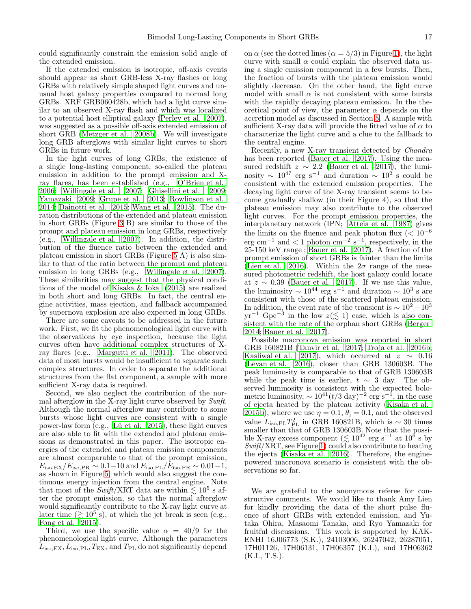could significantly constrain the emission solid angle of the extended emission.

If the extended emission is isotropic, off-axis events should appear as short GRB-less X-ray flashes or long GRBs with relatively simple shaped light curves and unusual host galaxy properties compared to normal long GRBs. XRF GRB060428b, which had a light curve similar to an observed X-ray flash and which was localized to a potential host elliptical galaxy [\(Perley et al. 2007\)](#page-18-40), was suggested as a possible off-axis extended emission of short GRB [\(Metzger et al. 2008b\)](#page-17-21). We will investigate long GRB afterglows with similar light curves to short GRBs in future work.

In the light curves of long GRBs, the existence of a single long-lasting component, so-called the plateau emission in addition to the prompt emission and Xray flares, has been established (e.g., [O'Brien et al.](#page-18-41) [2006;](#page-18-41) [Willingale et al. 2007;](#page-18-17) [Ghisellini et al. 2009;](#page-17-92) [Yamazaki 2009;](#page-18-42) [Grupe et al. 2013;](#page-17-93) [Rowlinson et al.](#page-18-43) [2014;](#page-18-43) [Dainotti et al. 2015;](#page-17-94) [Wang et al. 2015\)](#page-18-44). The duration distributions of the extended and plateau emission in short GRBs (Figure [3](#page-9-1) B) are similar to those of the prompt and plateau emission in long GRBs, respectively (e.g., [Willingale et al. 2007\)](#page-18-17). In addition, the distribution of the fluence ratio between the extended and plateau emission in short GRBs (Figure [5](#page-11-1) A) is also similar to that of the ratio between the prompt and plateau emission in long GRBs (e.g., [Willingale et al. 2007\)](#page-18-17). These similarities may suggest that the physical conditions of the model of [Kisaka & Ioka \(2015\)](#page-17-19) are realized in both short and long GRBs. In fact, the central engine activities, mass ejection, and fallback accompanied by supernova explosion are also expected in long GRBs.

There are some caveats to be addressed in the future work. First, we fit the phenomenological light curve with the observations by eye inspection, because the light curves often have additional complex structures of Xray flares (e.g., [Margutti et al. 2011\)](#page-17-95). The observed data of most bursts would be insufficient to separate such complex structures. In order to separate the additional structures from the flat component, a sample with more sufficient X-ray data is required.

Second, we also neglect the contribution of the normal afterglow in the X-ray light curve observed by Swift. Although the normal afterglow may contribute to some bursts whose light curves are consistent with a single power-law form  $(e.g., Lü et al. 2015)$ , these light curves are also able to fit with the extended and plateau emissions as demonstrated in this paper. The isotropic energies of the extended and plateau emission components are almost comparable to that of the prompt emission,  $E_{\rm iso,EX}/E_{\rm iso,PR} \sim 0.1-10$  and  $E_{\rm iso,PL}/E_{\rm iso,PR} \sim 0.01-1$ , as shown in Figure [5,](#page-11-1) which would also suggest the continuous energy injection from the central engine. Note that most of the Swift/XRT data are within  $\lesssim 10^5$  s after the prompt emission, so that the normal afterglow would significantly contribute to the X-ray light curve at later time  $( \gtrsim 10^5 \text{ s})$ , at which the jet break is seen (e.g., [Fong et al. 2015](#page-17-78)).

Third, we use the specific value  $\alpha = 40/9$  for the phenomenological light curve. Although the parameters  $L_{\text{iso,EX}}, L_{\text{iso,PL}}, T_{\text{EX}}, \text{and } T_{\text{PL}}$  do not significantly depend

on  $\alpha$  (see the dotted lines  $(\alpha = 5/3)$  in Figure [1\)](#page-4-0), the light curve with small  $\alpha$  could explain the observed data using a single emission component in a few bursts. Then, the fraction of bursts with the plateau emission would slightly decrease. On the other hand, the light curve model with small  $\alpha$  is not consistent with some bursts with the rapidly decaying plateau emission. In the theoretical point of view, the parameter  $\alpha$  depends on the accretion model as discussed in Section [5.](#page-11-0) A sample with sufficient X-ray data will provide the fitted value of  $\alpha$  to characterize the light curve and a clue to the fallback to the central engine.

Recently, a new X-ray transient detected by Chandra has been reported [\(Bauer et al. 2017](#page-17-96)). Using the measured redshift  $z \sim 2.2$  [\(Bauer et al. 2017\)](#page-17-96), the luminosity  $\sim 10^{47}$  erg s<sup>-1</sup> and duration  $\sim 10^2$  s could be consistent with the extended emission properties. The decaying light curve of the X-ray transient seems to become gradually shallow (in their Figure 4), so that the plateau emission may also contribute to the observed light curves. For the prompt emission properties, the interplanetary network (IPN; [Atteia et al. 1987\)](#page-17-97) gives the limits on the fluence and peak photon flux ( $< 10^{-6}$ )  $\text{erg cm}^{-1}$  and  $\textless 1$  photon  $\text{cm}^{-2}$  s<sup>-1</sup>, respectively, in the 25-150 keV range; [Bauer et al. 2017\)](#page-17-96). A fraction of the prompt emission of short GRBs is fainter than the limits [\(Lien et al. 2016](#page-17-13)). Within the  $2\sigma$  range of the measured photometric redshift, the host galaxy could locate at  $z \sim 0.39$  [\(Bauer et al. 2017\)](#page-17-96). If we use this value, the luminosity  $\sim 10^{44}$  erg s<sup>-1</sup> and duration  $\sim 10^3$  s are consistent with those of the scattered plateau emission. In addition, the event rate of the transient is  $\sim 10^2 - 10^3$  $yr^{-1}$  Gpc<sup>-3</sup> in the low  $z (\lesssim 1)$  case, which is also consistent with the rate of the orphan short GRBs [\(Berger](#page-17-1) [2014;](#page-17-1) [Bauer et al. 2017\)](#page-17-96).

Possible macronova emission was reported in short GRB 160821B [\(Tanvir et al. 2017;](#page-18-45) [Troja et al. 2016b](#page-18-46); [Kasliwal et al. 2017\)](#page-17-98), which occurred at  $z \sim 0.16$ [\(Levan et al. 2016\)](#page-17-57), closer than GRB 130603B. The peak luminosity is comparable to that of GRB 130603B while the peak time is earlier,  $t \sim 3$  day. The observed luminosity is consistent with the expected bolometric luminosity,  $\sim 10^{41} (t/3 \text{ day})^{-2} \text{ erg s}^{-1}$ , in the case of ejecta heated by the plateau activity [\(Kisaka et al.](#page-17-26) [2015b](#page-17-26)), where we use  $\eta = 0.1$ ,  $\theta_i = 0.1$ , and the observed value  $L_{\text{iso,PL}}T_{\text{PL}}^2$  in GRB 160821B, which is ~ 30 times smaller than that of GRB 130603B. Note that the possible X-ray excess component ( $\lesssim 10^{42}$  erg s<sup>-1</sup> at  $10^6$  s by  $Swift/XRT$ , see Figure [1\)](#page-4-0) could also contribute to heating the ejecta [\(Kisaka et al. 2016\)](#page-17-66). Therefore, the enginepowered macronova scenario is consistent with the observations so far.

We are grateful to the anonymous referee for constructive comments. We would like to thank Amy Lien for kindly providing the data of the short pulse fluence of short GRBs with extended emission, and Yutaka Ohira, Masaomi Tanaka, and Ryo Yamazaki for fruitful discussions. This work is supported by KAK-ENHI 16J06773 (S.K.), 24103006, 26247042, 26287051, 17H01126, 17H06131, 17H06357 (K.I.), and 17H06362 (K.I., T.S.).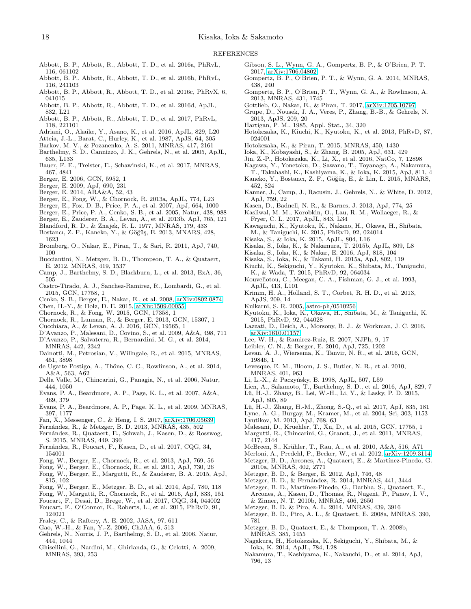#### REFERENCES

- <span id="page-17-2"></span>Abbott, B. P., Abbott, R., Abbott, T. D., et al. 2016a, PhRvL, 116, 061102
- <span id="page-17-3"></span>Abbott, B. P., Abbott, R., Abbott, T. D., et al. 2016b, PhRvL, 116, 241103
- <span id="page-17-4"></span>Abbott, B. P., Abbott, R., Abbott, T. D., et al. 2016c, PhRvX, 6, 041015
- <span id="page-17-6"></span>Abbott, B. P., Abbott, R., Abbott, T. D., et al. 2016d, ApJL, 832, L21
- <span id="page-17-5"></span>Abbott, B. P., Abbott, R., Abbott, T. D., et al. 2017, PhRvL, 118, 221101
- <span id="page-17-68"></span>Adriani, O., Akaike, Y., Asano, K., et al. 2016, ApJL, 829, L20
- <span id="page-17-97"></span>Atteia, J.-L., Barat, C., Hurley, K., et al. 1987, ApJS, 64, 305
- <span id="page-17-73"></span>Barkov, M. V., & Pozanenko, A. S. 2011, MNRAS, 417, 2161
- <span id="page-17-9"></span>Barthelmy, S. D., Cannizzo, J. K., Gehrels, N., et al. 2005, ApJL, 635, L133
- <span id="page-17-96"></span>Bauer, F. E., Treister, E., Schawinski, K., et al. 2017, MNRAS, 467, 4841
- <span id="page-17-42"></span>Berger, E. 2006, GCN, 5952, 1
- <span id="page-17-44"></span>Berger, E. 2009, ApJ, 690, 231
- <span id="page-17-1"></span>Berger, E. 2014, ARA&A, 52, 43
- <span id="page-17-67"></span>Berger, E., Fong, W., & Chornock, R. 2013a, ApJL, 774, L23
- <span id="page-17-41"></span>Berger, E., Fox, D. B., Price, P. A., et al. 2007, ApJ, 664, 1000
- <span id="page-17-38"></span>Berger, E., Price, P. A., Cenko, S. B., et al. 2005, Natur, 438, 988
- <span id="page-17-50"></span>Berger, E., Zauderer, B. A., Levan, A., et al. 2013b, ApJ, 765, 121
- <span id="page-17-76"></span>Blandford, R. D., & Znajek, R. L. 1977, MNRAS, 179, 433
- <span id="page-17-11"></span>Bostancı, Z. F., Kaneko, Y., & Göğüş, E. 2013, MNARS, 428, 1623
- <span id="page-17-62"></span>Bromberg, O., Nakar, E., Piran, T., & Sari, R. 2011, ApJ, 740, 100
- <span id="page-17-22"></span>Bucciantini, N., Metzger, B. D., Thompson, T. A., & Quataert, E. 2012, MNRAS, 419, 1537
- <span id="page-17-65"></span>Camp, J., Barthelmy, S. D., Blackburn, L., et al. 2013, ExA, 36, 505
- <span id="page-17-55"></span>Castro-Tirado, A. J., Sanchez-Ramirez, R., Lombardi, G., et al. 2015, GCN, 17758, 1
- <span id="page-17-43"></span>Cenko, S. B., Berger, E., Nakar, E., et al. 2008, [arXiv:0802.0874](http://arxiv.org/abs/0802.0874)
- <span id="page-17-61"></span>Chen, H.-Y., & Holz, D. E. 2015, [arXiv:1509.00055](http://arxiv.org/abs/1509.00055)
- <span id="page-17-53"></span>Chornock, R., & Fong, W. 2015, GCN, 17358, 1
- <span id="page-17-52"></span>Chornock, R., Lunnan, R., & Berger, E. 2013, GCN, 15307, 1
- <span id="page-17-56"></span>Cucchiara, A., & Levan, A. J. 2016, GCN, 19565, 1
- <span id="page-17-39"></span>D'Avanzo, P., Malesani, D., Covino, S., et al. 2009, A&A, 498, 711
- <span id="page-17-37"></span>D'Avanzo, P., Salvaterra, R., Bernardini, M. G., et al. 2014, MNRAS, 442, 2342
- <span id="page-17-94"></span>Dainotti, M., Petrosian, V., Willngale, R., et al. 2015, MNRAS, 451, 3898
- <span id="page-17-51"></span>de Ugarte Postigo, A., Thöne, C. C., Rowlinson, A., et al. 2014, A&A, 563, A62
- <span id="page-17-40"></span>Della Valle, M., Chincarini, G., Panagia, N., et al. 2006, Natur, 444, 1050
- <span id="page-17-35"></span>Evans, P. A., Beardmore, A. P., Page, K. L., et al. 2007, A&A, 469, 379
- <span id="page-17-36"></span>Evans, P. A., Beardmore, A. P., Page, K. L., et al. 2009, MNRAS, 397, 1177
- <span id="page-17-8"></span>Fan, X., Messenger, C., & Heng, I. S. 2017, [arXiv:1706.05639](http://arxiv.org/abs/1706.05639)
- <span id="page-17-85"></span>Fern´andez, R., & Metzger, B. D. 2013, MNRAS, 435, 502
- <span id="page-17-87"></span>Fernández, R., Quataert, E., Schwab, J., Kasen, D., & Rosswog, S. 2015, MNRAS, 449, 390
- <span id="page-17-88"></span>Fernández, R., Foucart, F., Kasen, D., et al. 2017, CQG, 34, 154001
- <span id="page-17-49"></span>Fong, W., Berger, E., Chornock, R., et al. 2013, ApJ, 769, 56
- <span id="page-17-48"></span>Fong, W., Berger, E., Chornock, R., et al. 2011, ApJ, 730, 26
- <span id="page-17-78"></span>Fong, W., Berger, E., Margutti, R., & Zauderer, B. A. 2015, ApJ, 815, 102
- <span id="page-17-77"></span>Fong, W., Berger, E., Metzger, B. D., et al. 2014, ApJ, 780, 118
- <span id="page-17-90"></span>Fong, W., Margutti, R., Chornock, R., et al. 2016, ApJ, 833, 151
- <span id="page-17-82"></span>Foucart, F., Desai, D., Brege, W., et al. 2017, CQG, 34, 044002
- <span id="page-17-81"></span>Foucart, F., O'Connor, E., Roberts, L., et al. 2015, PhRvD, 91, 124021
- <span id="page-17-59"></span>Fraley, C., & Raftery, A. E. 2002, JASA, 97, 611
- <span id="page-17-71"></span>Gao, W.-H., & Fan, Y.-Z. 2006, ChJAA, 6, 513
- <span id="page-17-60"></span>Gehrels, N., Norris, J. P., Barthelmy, S. D., et al. 2006, Natur, 444, 1044
- <span id="page-17-92"></span>Ghisellini, G., Nardini, M., Ghirlanda, G., & Celotti, A. 2009, MNRAS, 393, 253
- <span id="page-17-20"></span>Gibson, S. L., Wynn, G. A., Gompertz, B. P., & O'Brien, P. T. 2017, [arXiv:1706.04802](http://arxiv.org/abs/1706.04802)
- <span id="page-17-18"></span>Gompertz, B. P., O'Brien, P. T., & Wynn, G. A. 2014, MNRAS, 438, 240
- <span id="page-17-17"></span>Gompertz, B. P., O'Brien, P. T., Wynn, G. A., & Rowlinson, A. 2013, MNRAS, 431, 1745
- <span id="page-17-29"></span>Gottlieb, O., Nakar, E., & Piran, T. 2017, [arXiv:1705.10797](http://arxiv.org/abs/1705.10797)
- <span id="page-17-93"></span>Grupe, D., Nousek, J. A., Veres, P., Zhang, B.-B., & Gehrels, N. 2013, ApJS, 209, 20
- <span id="page-17-58"></span>Hartigan, P. M., 1985, Appl. Stat., 34, 320
- <span id="page-17-74"></span>Hotokezaka, K., Kiuchi, K., Kyutoku, K., et al. 2013, PhRvD, 87, 024001
- <span id="page-17-27"></span>Hotokezaka, K., & Piran, T. 2015, MNRAS, 450, 1430
- <span id="page-17-10"></span>Ioka, K., Kobayashi, S., & Zhang, B. 2005, ApJ, 631, 429
- <span id="page-17-91"></span>Jin, Z.-P., Hotokezaka, K., Li, X., et al. 2016, NatCo, 7, 12898
- <span id="page-17-14"></span>Kagawa, Y., Yonetoku, D., Sawano, T., Toyanago, A., Nakamura, T., Takahashi, K., Kashiyama, K., & Ioka, K. 2015, ApJ, 811, 4
- <span id="page-17-12"></span>Kaneko, Y., Bostancı, Z. F., Göğüş, E., & Lin, L. 2015, MNARS, 452, 824
- <span id="page-17-64"></span>Kanner, J., Camp, J., Racusin, J., Gehrels, N., & White, D. 2012, ApJ, 759, 22
- <span id="page-17-33"></span>Kasen, D., Badnell, N. R., & Barnes, J. 2013, ApJ, 774, 25
- <span id="page-17-98"></span>Kasliwal, M. M., Korobkin, O., Lau, R. M., Wollaeger, R., & Fryer, C. L. 2017, ApJL, 843, L34
- <span id="page-17-80"></span>Kawaguchi, K., Kyutoku, K., Nakano, H., Okawa, H., Shibata, M., & Taniguchi, K. 2015, PhRvD, 92, 024014
- <span id="page-17-19"></span>Kisaka, S., & Ioka, K. 2015, ApJL, 804, L16
- <span id="page-17-26"></span>Kisaka, S., Ioka, K., & Nakamura, T. 2015b, ApJL, 809, L8
- <span id="page-17-66"></span>Kisaka, S., Ioka, K., & Nakar, E. 2016, ApJ, 818, 104
- <span id="page-17-25"></span>Kisaka, S., Ioka, K., & Takami, H. 2015a, ApJ, 802, 119
- <span id="page-17-89"></span>Kiuchi, K., Sekiguchi, Y., Kyutoku, K., Shibata, M., Taniguchi, K., & Wada, T. 2015, PhRvD, 92, 064034
- <span id="page-17-34"></span>Kouveliotou, C., Meegan, C. A., Fishman, G. J., et al. 1993, ApJL, 413, L101
- <span id="page-17-69"></span>Krimm, H. A., Holland, S. T., Corbet, R. H. D., et al. 2013, ApJS, 209, 14
- Kulkarni, S. R. 2005, [astro-ph/0510256](http://arxiv.org/abs/astro-ph/0510256)
- <span id="page-17-75"></span><span id="page-17-30"></span>Kyutoku, K., Ioka, K., Okawa, H., Shibata, M., & Taniguchi, K. 2015, PhRvD, 92, 044028
- <span id="page-17-28"></span>Lazzati, D., Deich, A., Morsony, B. J., & Workman, J. C. 2016, [arXiv:1610.01157](http://arxiv.org/abs/1610.01157)
- <span id="page-17-0"></span>Lee, W. H., & Ramirez-Ruiz, E. 2007, NJPh, 9, 17
- <span id="page-17-45"></span>Leibler, C. N., & Berger, E. 2010, ApJ, 725, 1202
- <span id="page-17-57"></span>Levan, A. J., Wiersema, K., Tanvir, N. R., et al. 2016, GCN, 19846, 1
- <span id="page-17-46"></span>Levesque, E. M., Bloom, J. S., Butler, N. R., et al. 2010, MNRAS, 401, 963
- <span id="page-17-31"></span>Li, L.-X., & Paczyńsky, B. 1998, ApJL, 507, L59
- <span id="page-17-13"></span>Lien, A., Sakamoto, T., Barthelmy, S. D., et al. 2016, ApJ, 829, 7
- <span id="page-17-15"></span>Lü, H.-J., Zhang, B., Lei, W.-H., Li, Y., & Lasky, P. D. 2015, ApJ, 805, 89
- <span id="page-17-16"></span>L¨u, H.-J., Zhang, H.-M., Zhong, S.-Q., et al. 2017, ApJ, 835, 181
- <span id="page-17-79"></span>Lyne, A. G., Burgay, M., Kramer, M., et al. 2004, Sci, 303, 1153 Lyutikov, M. 2013, ApJ, 768, 63
- <span id="page-17-72"></span>

<span id="page-17-24"></span>796, 13

- <span id="page-17-54"></span>Malesani, D., Kruehler, T., Xu, D., et al. 2015, GCN, 17755, 1
- <span id="page-17-95"></span>Margutti, R., Chincarini, G., Granot, J., et al. 2011, MNRAS, 417, 2144
- <span id="page-17-47"></span>McBreen, S., Krühler, T., Rau, A., et al. 2010, A&A, 516, A71
- <span id="page-17-70"></span>Merloni, A., Predehl, P., Becker, W., et al. 2012, [arXiv:1209.3114](http://arxiv.org/abs/1209.3114)
- <span id="page-17-84"></span>Metzger, B. D., Arcones, A., Quataert, E., & Martínez-Pinedo, G. 2010a, MNRAS, 402, 2771
- <span id="page-17-7"></span>Metzger, B. D., & Berger, E. 2012, ApJ, 746, 48
- <span id="page-17-86"></span>Metzger, B. D., & Fernández, R. 2014, MNRAS, 441, 3444
- <span id="page-17-32"></span>Metzger, B. D., Martínez-Pinedo, G., Darbha, S., Quataert, E. Arcones, A., Kasen, D., Thomas, R., Nugent, P., Panov, I. V., & Zinner, N. T. 2010b, MNRAS, 406, 2650
- <span id="page-17-23"></span>Metzger, B. D. & Piro, A. L. 2014, MNRAS, 439, 3916
- <span id="page-17-83"></span>Metzger, B. D., Piro, A. L., & Quataert, E. 2008a, MNRAS, 390, 781
- <span id="page-17-21"></span>Metzger, B. D., Quataert, E., & Thompson, T. A. 2008b, MNRAS, 385, 1455
- <span id="page-17-63"></span>Nagakura, H., Hotokezaka, K., Sekiguchi, Y., Shibata, M., & Ioka, K. 2014, ApJL, 784, L28 Nakamura, T., Kashiyama, K., Nakauchi, D., et al. 2014, ApJ,